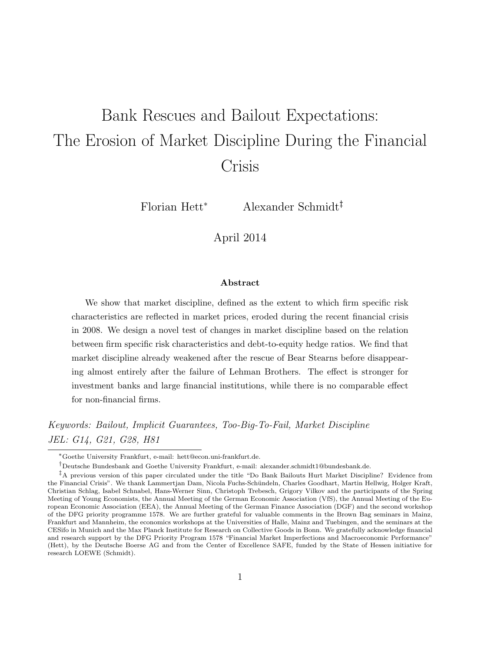# Bank Rescues and Bailout Expectations: The Erosion of Market Discipline During the Financial Crisis

Florian Hett<sup>∗</sup> Alexander Schmidt†‡

April 2014

#### Abstract

We show that market discipline, defined as the extent to which firm specific risk characteristics are reflected in market prices, eroded during the recent financial crisis in 2008. We design a novel test of changes in market discipline based on the relation between firm specific risk characteristics and debt-to-equity hedge ratios. We find that market discipline already weakened after the rescue of Bear Stearns before disappearing almost entirely after the failure of Lehman Brothers. The effect is stronger for investment banks and large financial institutions, while there is no comparable effect for non-financial firms.

Keywords: Bailout, Implicit Guarantees, Too-Big-To-Fail, Market Discipline JEL: G14, G21, G28, H81

<sup>∗</sup>Goethe University Frankfurt, e-mail: hett@econ.uni-frankfurt.de.

 $^\dagger$ Deutsche Bundesbank and Goethe University Frankfurt, e-mail: alexander.schmidt1@bundesbank.de.

<sup>‡</sup>A previous version of this paper circulated under the title "Do Bank Bailouts Hurt Market Discipline? Evidence from the Financial Crisis". We thank Lammertjan Dam, Nicola Fuchs-Schündeln, Charles Goodhart, Martin Hellwig, Holger Kraft, Christian Schlag, Isabel Schnabel, Hans-Werner Sinn, Christoph Trebesch, Grigory Vilkov and the participants of the Spring Meeting of Young Economists, the Annual Meeting of the German Economic Association (VfS), the Annual Meeting of the European Economic Association (EEA), the Annual Meeting of the German Finance Association (DGF) and the second workshop of the DFG priority programme 1578. We are further grateful for valuable comments in the Brown Bag seminars in Mainz, Frankfurt and Mannheim, the economics workshops at the Universities of Halle, Mainz and Tuebingen, and the seminars at the CESifo in Munich and the Max Planck Institute for Research on Collective Goods in Bonn. We gratefully acknowledge financial and research support by the DFG Priority Program 1578 "Financial Market Imperfections and Macroeconomic Performance" (Hett), by the Deutsche Boerse AG and from the Center of Excellence SAFE, funded by the State of Hessen initiative for research LOEWE (Schmidt).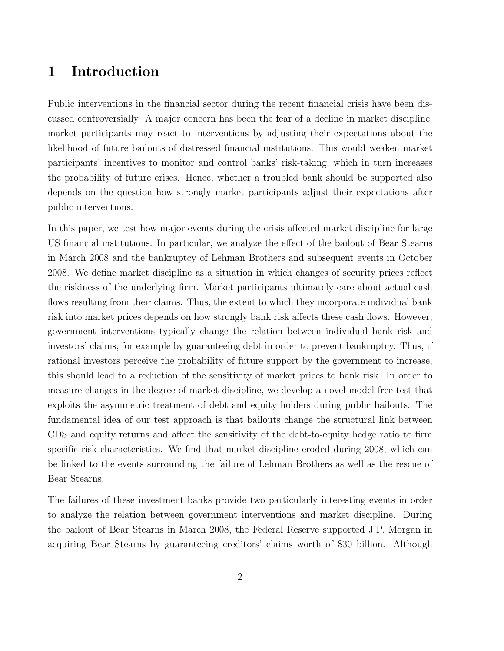## 1 Introduction

Public interventions in the financial sector during the recent financial crisis have been discussed controversially. A major concern has been the fear of a decline in market discipline: market participants may react to interventions by adjusting their expectations about the likelihood of future bailouts of distressed financial institutions. This would weaken market participants' incentives to monitor and control banks' risk-taking, which in turn increases the probability of future crises. Hence, whether a troubled bank should be supported also depends on the question how strongly market participants adjust their expectations after public interventions.

In this paper, we test how major events during the crisis affected market discipline for large US financial institutions. In particular, we analyze the effect of the bailout of Bear Stearns in March 2008 and the bankruptcy of Lehman Brothers and subsequent events in October 2008. We define market discipline as a situation in which changes of security prices reflect the riskiness of the underlying firm. Market participants ultimately care about actual cash flows resulting from their claims. Thus, the extent to which they incorporate individual bank risk into market prices depends on how strongly bank risk affects these cash flows. However, government interventions typically change the relation between individual bank risk and investors' claims, for example by guaranteeing debt in order to prevent bankruptcy. Thus, if rational investors perceive the probability of future support by the government to increase, this should lead to a reduction of the sensitivity of market prices to bank risk. In order to measure changes in the degree of market discipline, we develop a novel model-free test that exploits the asymmetric treatment of debt and equity holders during public bailouts. The fundamental idea of our test approach is that bailouts change the structural link between CDS and equity returns and affect the sensitivity of the debt-to-equity hedge ratio to firm specific risk characteristics. We find that market discipline eroded during 2008, which can be linked to the events surrounding the failure of Lehman Brothers as well as the rescue of Bear Stearns.

The failures of these investment banks provide two particularly interesting events in order to analyze the relation between government interventions and market discipline. During the bailout of Bear Stearns in March 2008, the Federal Reserve supported J.P. Morgan in acquiring Bear Stearns by guaranteeing creditors' claims worth of \$30 billion. Although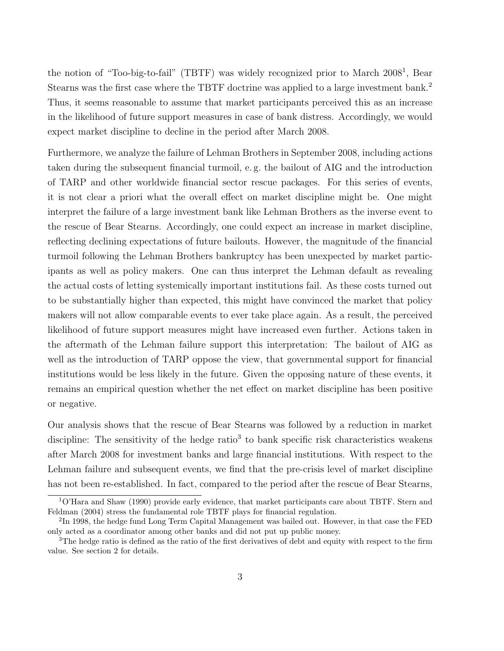the notion of "Too-big-to-fail" (TBTF) was widely recognized prior to March 2008<sup>1</sup>, Bear Stearns was the first case where the TBTF doctrine was applied to a large investment bank.<sup>2</sup> Thus, it seems reasonable to assume that market participants perceived this as an increase in the likelihood of future support measures in case of bank distress. Accordingly, we would expect market discipline to decline in the period after March 2008.

Furthermore, we analyze the failure of Lehman Brothers in September 2008, including actions taken during the subsequent financial turmoil, e. g. the bailout of AIG and the introduction of TARP and other worldwide financial sector rescue packages. For this series of events, it is not clear a priori what the overall effect on market discipline might be. One might interpret the failure of a large investment bank like Lehman Brothers as the inverse event to the rescue of Bear Stearns. Accordingly, one could expect an increase in market discipline, reflecting declining expectations of future bailouts. However, the magnitude of the financial turmoil following the Lehman Brothers bankruptcy has been unexpected by market participants as well as policy makers. One can thus interpret the Lehman default as revealing the actual costs of letting systemically important institutions fail. As these costs turned out to be substantially higher than expected, this might have convinced the market that policy makers will not allow comparable events to ever take place again. As a result, the perceived likelihood of future support measures might have increased even further. Actions taken in the aftermath of the Lehman failure support this interpretation: The bailout of AIG as well as the introduction of TARP oppose the view, that governmental support for financial institutions would be less likely in the future. Given the opposing nature of these events, it remains an empirical question whether the net effect on market discipline has been positive or negative.

Our analysis shows that the rescue of Bear Stearns was followed by a reduction in market discipline: The sensitivity of the hedge ratio<sup>3</sup> to bank specific risk characteristics weakens after March 2008 for investment banks and large financial institutions. With respect to the Lehman failure and subsequent events, we find that the pre-crisis level of market discipline has not been re-established. In fact, compared to the period after the rescue of Bear Stearns,

<sup>1</sup>O'Hara and Shaw (1990) provide early evidence, that market participants care about TBTF. Stern and Feldman (2004) stress the fundamental role TBTF plays for financial regulation.

 ${}^{2}\text{In}$  1998, the hedge fund Long Term Capital Management was bailed out. However, in that case the FED only acted as a coordinator among other banks and did not put up public money.

<sup>&</sup>lt;sup>3</sup>The hedge ratio is defined as the ratio of the first derivatives of debt and equity with respect to the firm value. See section 2 for details.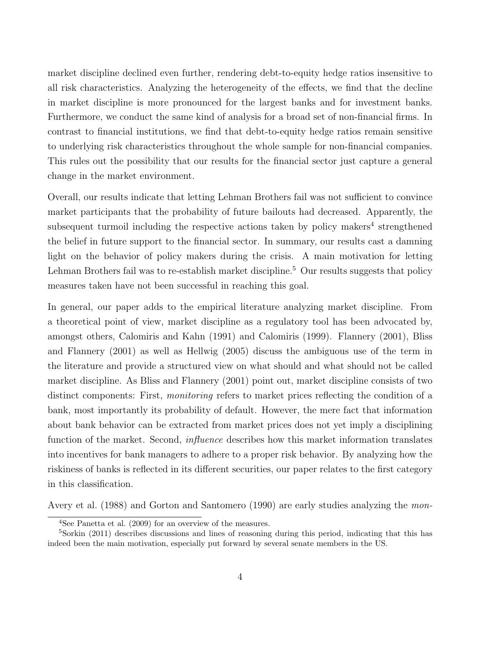market discipline declined even further, rendering debt-to-equity hedge ratios insensitive to all risk characteristics. Analyzing the heterogeneity of the effects, we find that the decline in market discipline is more pronounced for the largest banks and for investment banks. Furthermore, we conduct the same kind of analysis for a broad set of non-financial firms. In contrast to financial institutions, we find that debt-to-equity hedge ratios remain sensitive to underlying risk characteristics throughout the whole sample for non-financial companies. This rules out the possibility that our results for the financial sector just capture a general change in the market environment.

Overall, our results indicate that letting Lehman Brothers fail was not sufficient to convince market participants that the probability of future bailouts had decreased. Apparently, the subsequent turmoil including the respective actions taken by policy makers<sup>4</sup> strengthened the belief in future support to the financial sector. In summary, our results cast a damning light on the behavior of policy makers during the crisis. A main motivation for letting Lehman Brothers fail was to re-establish market discipline.<sup>5</sup> Our results suggests that policy measures taken have not been successful in reaching this goal.

In general, our paper adds to the empirical literature analyzing market discipline. From a theoretical point of view, market discipline as a regulatory tool has been advocated by, amongst others, Calomiris and Kahn (1991) and Calomiris (1999). Flannery (2001), Bliss and Flannery (2001) as well as Hellwig (2005) discuss the ambiguous use of the term in the literature and provide a structured view on what should and what should not be called market discipline. As Bliss and Flannery (2001) point out, market discipline consists of two distinct components: First, monitoring refers to market prices reflecting the condition of a bank, most importantly its probability of default. However, the mere fact that information about bank behavior can be extracted from market prices does not yet imply a disciplining function of the market. Second, *influence* describes how this market information translates into incentives for bank managers to adhere to a proper risk behavior. By analyzing how the riskiness of banks is reflected in its different securities, our paper relates to the first category in this classification.

Avery et al. (1988) and Gorton and Santomero (1990) are early studies analyzing the mon-

<sup>4</sup>See Panetta et al. (2009) for an overview of the measures.

 $5$ Sorkin (2011) describes discussions and lines of reasoning during this period, indicating that this has indeed been the main motivation, especially put forward by several senate members in the US.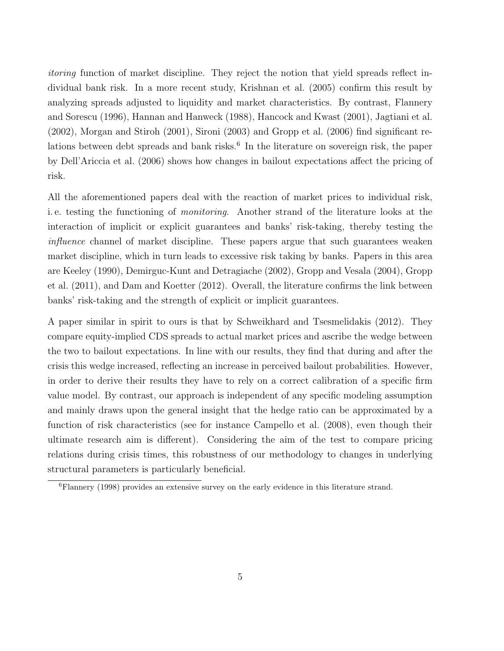itoring function of market discipline. They reject the notion that yield spreads reflect individual bank risk. In a more recent study, Krishnan et al. (2005) confirm this result by analyzing spreads adjusted to liquidity and market characteristics. By contrast, Flannery and Sorescu (1996), Hannan and Hanweck (1988), Hancock and Kwast (2001), Jagtiani et al. (2002), Morgan and Stiroh (2001), Sironi (2003) and Gropp et al. (2006) find significant relations between debt spreads and bank risks.<sup>6</sup> In the literature on sovereign risk, the paper by Dell'Ariccia et al. (2006) shows how changes in bailout expectations affect the pricing of risk.

All the aforementioned papers deal with the reaction of market prices to individual risk, i. e. testing the functioning of monitoring. Another strand of the literature looks at the interaction of implicit or explicit guarantees and banks' risk-taking, thereby testing the influence channel of market discipline. These papers argue that such guarantees weaken market discipline, which in turn leads to excessive risk taking by banks. Papers in this area are Keeley (1990), Demirguc-Kunt and Detragiache (2002), Gropp and Vesala (2004), Gropp et al. (2011), and Dam and Koetter (2012). Overall, the literature confirms the link between banks' risk-taking and the strength of explicit or implicit guarantees.

A paper similar in spirit to ours is that by Schweikhard and Tsesmelidakis (2012). They compare equity-implied CDS spreads to actual market prices and ascribe the wedge between the two to bailout expectations. In line with our results, they find that during and after the crisis this wedge increased, reflecting an increase in perceived bailout probabilities. However, in order to derive their results they have to rely on a correct calibration of a specific firm value model. By contrast, our approach is independent of any specific modeling assumption and mainly draws upon the general insight that the hedge ratio can be approximated by a function of risk characteristics (see for instance Campello et al. (2008), even though their ultimate research aim is different). Considering the aim of the test to compare pricing relations during crisis times, this robustness of our methodology to changes in underlying structural parameters is particularly beneficial.

<sup>6</sup>Flannery (1998) provides an extensive survey on the early evidence in this literature strand.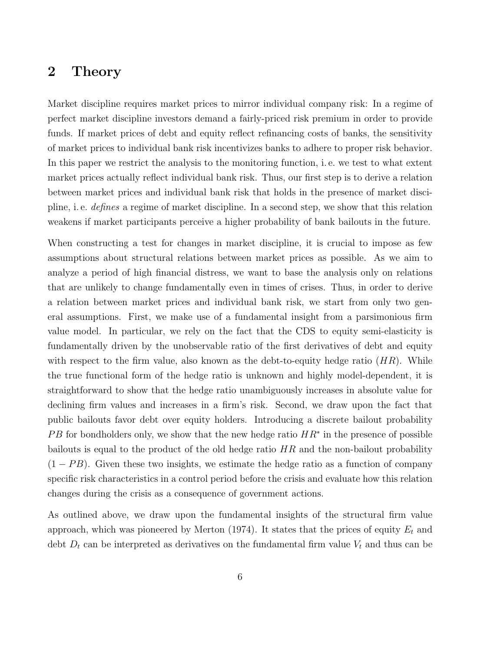## 2 Theory

Market discipline requires market prices to mirror individual company risk: In a regime of perfect market discipline investors demand a fairly-priced risk premium in order to provide funds. If market prices of debt and equity reflect refinancing costs of banks, the sensitivity of market prices to individual bank risk incentivizes banks to adhere to proper risk behavior. In this paper we restrict the analysis to the monitoring function, i. e. we test to what extent market prices actually reflect individual bank risk. Thus, our first step is to derive a relation between market prices and individual bank risk that holds in the presence of market discipline, i. e. defines a regime of market discipline. In a second step, we show that this relation weakens if market participants perceive a higher probability of bank bailouts in the future.

When constructing a test for changes in market discipline, it is crucial to impose as few assumptions about structural relations between market prices as possible. As we aim to analyze a period of high financial distress, we want to base the analysis only on relations that are unlikely to change fundamentally even in times of crises. Thus, in order to derive a relation between market prices and individual bank risk, we start from only two general assumptions. First, we make use of a fundamental insight from a parsimonious firm value model. In particular, we rely on the fact that the CDS to equity semi-elasticity is fundamentally driven by the unobservable ratio of the first derivatives of debt and equity with respect to the firm value, also known as the debt-to-equity hedge ratio  $(HR)$ . While the true functional form of the hedge ratio is unknown and highly model-dependent, it is straightforward to show that the hedge ratio unambiguously increases in absolute value for declining firm values and increases in a firm's risk. Second, we draw upon the fact that public bailouts favor debt over equity holders. Introducing a discrete bailout probability PB for bondholders only, we show that the new hedge ratio  $HR^*$  in the presence of possible bailouts is equal to the product of the old hedge ratio  $HR$  and the non-bailout probability  $(1 - PB)$ . Given these two insights, we estimate the hedge ratio as a function of company specific risk characteristics in a control period before the crisis and evaluate how this relation changes during the crisis as a consequence of government actions.

As outlined above, we draw upon the fundamental insights of the structural firm value approach, which was pioneered by Merton (1974). It states that the prices of equity  $E_t$  and debt  $D_t$  can be interpreted as derivatives on the fundamental firm value  $V_t$  and thus can be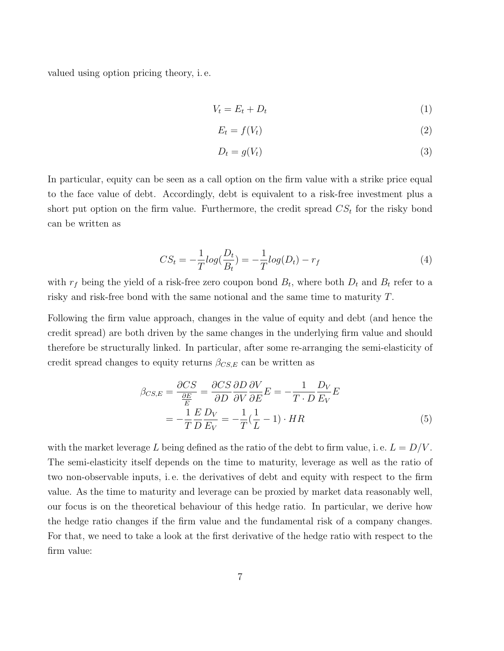valued using option pricing theory, i. e.

$$
V_t = E_t + D_t \tag{1}
$$

$$
E_t = f(V_t) \tag{2}
$$

$$
D_t = g(V_t) \tag{3}
$$

In particular, equity can be seen as a call option on the firm value with a strike price equal to the face value of debt. Accordingly, debt is equivalent to a risk-free investment plus a short put option on the firm value. Furthermore, the credit spread  $CS_t$  for the risky bond can be written as

$$
CS_t = -\frac{1}{T} log(\frac{D_t}{B_t}) = -\frac{1}{T} log(D_t) - r_f
$$
\n(4)

with  $r_f$  being the yield of a risk-free zero coupon bond  $B_t$ , where both  $D_t$  and  $B_t$  refer to a risky and risk-free bond with the same notional and the same time to maturity T.

Following the firm value approach, changes in the value of equity and debt (and hence the credit spread) are both driven by the same changes in the underlying firm value and should therefore be structurally linked. In particular, after some re-arranging the semi-elasticity of credit spread changes to equity returns  $\beta_{CS,E}$  can be written as

$$
\beta_{CS,E} = \frac{\partial CS}{\frac{\partial E}{E}} = \frac{\partial CS}{\partial D} \frac{\partial D}{\partial V} \frac{\partial V}{\partial E} E = -\frac{1}{T \cdot D} \frac{D_V}{E_V} E
$$

$$
= -\frac{1}{T} \frac{E}{D} \frac{D_V}{E_V} = -\frac{1}{T} (\frac{1}{L} - 1) \cdot HR
$$
(5)

with the market leverage L being defined as the ratio of the debt to firm value, i.e.  $L = D/V$ . The semi-elasticity itself depends on the time to maturity, leverage as well as the ratio of two non-observable inputs, i. e. the derivatives of debt and equity with respect to the firm value. As the time to maturity and leverage can be proxied by market data reasonably well, our focus is on the theoretical behaviour of this hedge ratio. In particular, we derive how the hedge ratio changes if the firm value and the fundamental risk of a company changes. For that, we need to take a look at the first derivative of the hedge ratio with respect to the firm value: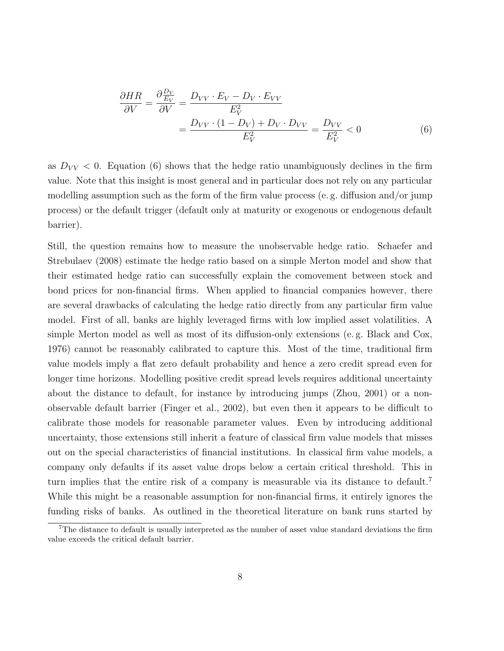$$
\frac{\partial HR}{\partial V} = \frac{\partial \frac{D_V}{E_V}}{\partial V} = \frac{D_{VV} \cdot E_V - D_V \cdot E_{VV}}{E_V^2} = \frac{D_{VV} \cdot (1 - D_V) + D_V \cdot D_{VV}}{E_V^2} = \frac{D_{VV}}{E_V^2} < 0 \tag{6}
$$

as  $D_{VV}$  < 0. Equation (6) shows that the hedge ratio unambiguously declines in the firm value. Note that this insight is most general and in particular does not rely on any particular modelling assumption such as the form of the firm value process (e. g. diffusion and/or jump process) or the default trigger (default only at maturity or exogenous or endogenous default barrier).

Still, the question remains how to measure the unobservable hedge ratio. Schaefer and Strebulaev (2008) estimate the hedge ratio based on a simple Merton model and show that their estimated hedge ratio can successfully explain the comovement between stock and bond prices for non-financial firms. When applied to financial companies however, there are several drawbacks of calculating the hedge ratio directly from any particular firm value model. First of all, banks are highly leveraged firms with low implied asset volatilities. A simple Merton model as well as most of its diffusion-only extensions (e. g. Black and Cox, 1976) cannot be reasonably calibrated to capture this. Most of the time, traditional firm value models imply a flat zero default probability and hence a zero credit spread even for longer time horizons. Modelling positive credit spread levels requires additional uncertainty about the distance to default, for instance by introducing jumps (Zhou, 2001) or a nonobservable default barrier (Finger et al., 2002), but even then it appears to be difficult to calibrate those models for reasonable parameter values. Even by introducing additional uncertainty, those extensions still inherit a feature of classical firm value models that misses out on the special characteristics of financial institutions. In classical firm value models, a company only defaults if its asset value drops below a certain critical threshold. This in turn implies that the entire risk of a company is measurable via its distance to default.<sup>7</sup> While this might be a reasonable assumption for non-financial firms, it entirely ignores the funding risks of banks. As outlined in the theoretical literature on bank runs started by

<sup>7</sup>The distance to default is usually interpreted as the number of asset value standard deviations the firm value exceeds the critical default barrier.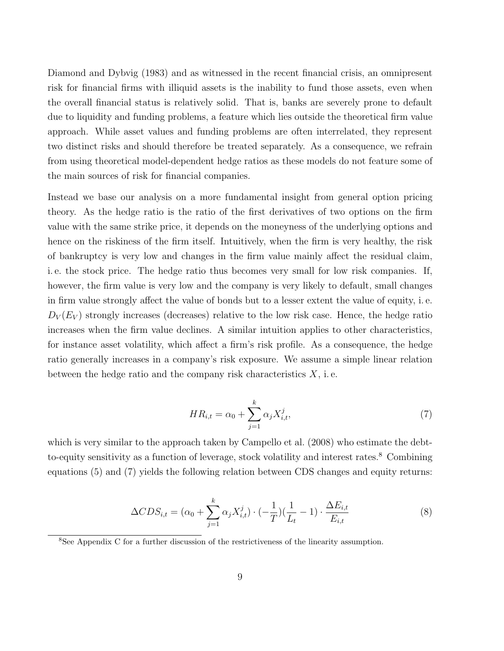Diamond and Dybvig (1983) and as witnessed in the recent financial crisis, an omnipresent risk for financial firms with illiquid assets is the inability to fund those assets, even when the overall financial status is relatively solid. That is, banks are severely prone to default due to liquidity and funding problems, a feature which lies outside the theoretical firm value approach. While asset values and funding problems are often interrelated, they represent two distinct risks and should therefore be treated separately. As a consequence, we refrain from using theoretical model-dependent hedge ratios as these models do not feature some of the main sources of risk for financial companies.

Instead we base our analysis on a more fundamental insight from general option pricing theory. As the hedge ratio is the ratio of the first derivatives of two options on the firm value with the same strike price, it depends on the moneyness of the underlying options and hence on the riskiness of the firm itself. Intuitively, when the firm is very healthy, the risk of bankruptcy is very low and changes in the firm value mainly affect the residual claim, i. e. the stock price. The hedge ratio thus becomes very small for low risk companies. If, however, the firm value is very low and the company is very likely to default, small changes in firm value strongly affect the value of bonds but to a lesser extent the value of equity, i. e.  $D_V(E_V)$  strongly increases (decreases) relative to the low risk case. Hence, the hedge ratio increases when the firm value declines. A similar intuition applies to other characteristics, for instance asset volatility, which affect a firm's risk profile. As a consequence, the hedge ratio generally increases in a company's risk exposure. We assume a simple linear relation between the hedge ratio and the company risk characteristics  $X$ , i.e.

$$
HR_{i,t} = \alpha_0 + \sum_{j=1}^{k} \alpha_j X_{i,t}^j,
$$
\n(7)

which is very similar to the approach taken by Campello et al.  $(2008)$  who estimate the debtto-equity sensitivity as a function of leverage, stock volatility and interest rates.<sup>8</sup> Combining equations (5) and (7) yields the following relation between CDS changes and equity returns:

$$
\Delta CDS_{i,t} = (\alpha_0 + \sum_{j=1}^{k} \alpha_j X_{i,t}^j) \cdot (-\frac{1}{T}) (\frac{1}{L_t} - 1) \cdot \frac{\Delta E_{i,t}}{E_{i,t}} \tag{8}
$$

<sup>8</sup>See Appendix C for a further discussion of the restrictiveness of the linearity assumption.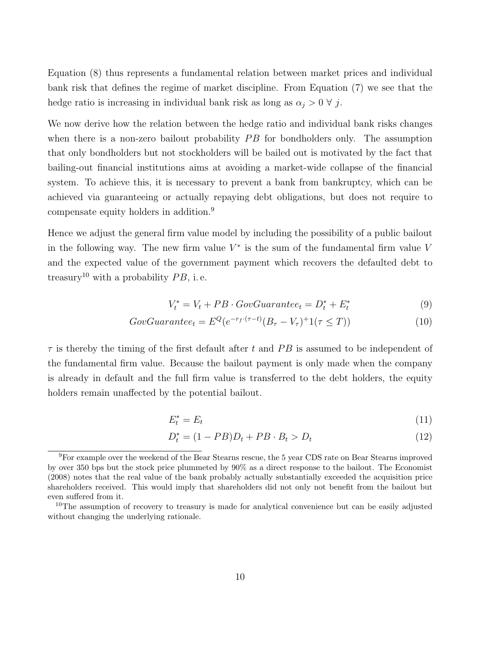Equation (8) thus represents a fundamental relation between market prices and individual bank risk that defines the regime of market discipline. From Equation (7) we see that the hedge ratio is increasing in individual bank risk as long as  $\alpha_j > 0 \forall j$ .

We now derive how the relation between the hedge ratio and individual bank risks changes when there is a non-zero bailout probability  $PB$  for bondholders only. The assumption that only bondholders but not stockholders will be bailed out is motivated by the fact that bailing-out financial institutions aims at avoiding a market-wide collapse of the financial system. To achieve this, it is necessary to prevent a bank from bankruptcy, which can be achieved via guaranteeing or actually repaying debt obligations, but does not require to compensate equity holders in addition.<sup>9</sup>

Hence we adjust the general firm value model by including the possibility of a public bailout in the following way. The new firm value  $V^*$  is the sum of the fundamental firm value V and the expected value of the government payment which recovers the defaulted debt to treasury<sup>10</sup> with a probability  $PB$ , i.e.

$$
V_t^* = V_t + PB \cdot GovGuarantee_t = D_t^* + E_t^* \tag{9}
$$

$$
GovGuarantee_t = E^Q(e^{-r_f \cdot (\tau - t)}(B_\tau - V_\tau)^+ 1(\tau \le T))
$$
\n
$$
(10)
$$

 $\tau$  is thereby the timing of the first default after t and PB is assumed to be independent of the fundamental firm value. Because the bailout payment is only made when the company is already in default and the full firm value is transferred to the debt holders, the equity holders remain unaffected by the potential bailout.

$$
E_t^* = E_t \tag{11}
$$

$$
D_t^* = (1 - PB)D_t + PB \cdot B_t > D_t \tag{12}
$$

<sup>&</sup>lt;sup>9</sup>For example over the weekend of the Bear Stearns rescue, the 5 year CDS rate on Bear Stearns improved by over 350 bps but the stock price plummeted by 90% as a direct response to the bailout. The Economist (2008) notes that the real value of the bank probably actually substantially exceeded the acquisition price shareholders received. This would imply that shareholders did not only not benefit from the bailout but even suffered from it.

 $10$ The assumption of recovery to treasury is made for analytical convenience but can be easily adjusted without changing the underlying rationale.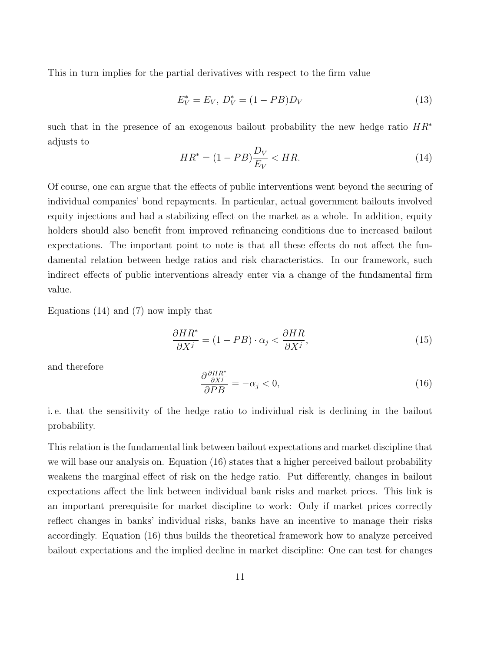This in turn implies for the partial derivatives with respect to the firm value

$$
E_V^* = E_V, \ D_V^* = (1 - PB)D_V \tag{13}
$$

such that in the presence of an exogenous bailout probability the new hedge ratio  $HR^*$ adjusts to

$$
HR^* = (1 - PB)\frac{D_V}{E_V} < HR. \tag{14}
$$

Of course, one can argue that the effects of public interventions went beyond the securing of individual companies' bond repayments. In particular, actual government bailouts involved equity injections and had a stabilizing effect on the market as a whole. In addition, equity holders should also benefit from improved refinancing conditions due to increased bailout expectations. The important point to note is that all these effects do not affect the fundamental relation between hedge ratios and risk characteristics. In our framework, such indirect effects of public interventions already enter via a change of the fundamental firm value.

Equations (14) and (7) now imply that

$$
\frac{\partial HR^*}{\partial X^j} = (1 - PB) \cdot \alpha_j < \frac{\partial HR}{\partial X^j},\tag{15}
$$

and therefore

$$
\frac{\partial \frac{\partial HR^*}{\partial X^j}}{\partial PB} = -\alpha_j < 0,\tag{16}
$$

i. e. that the sensitivity of the hedge ratio to individual risk is declining in the bailout probability.

This relation is the fundamental link between bailout expectations and market discipline that we will base our analysis on. Equation (16) states that a higher perceived bailout probability weakens the marginal effect of risk on the hedge ratio. Put differently, changes in bailout expectations affect the link between individual bank risks and market prices. This link is an important prerequisite for market discipline to work: Only if market prices correctly reflect changes in banks' individual risks, banks have an incentive to manage their risks accordingly. Equation (16) thus builds the theoretical framework how to analyze perceived bailout expectations and the implied decline in market discipline: One can test for changes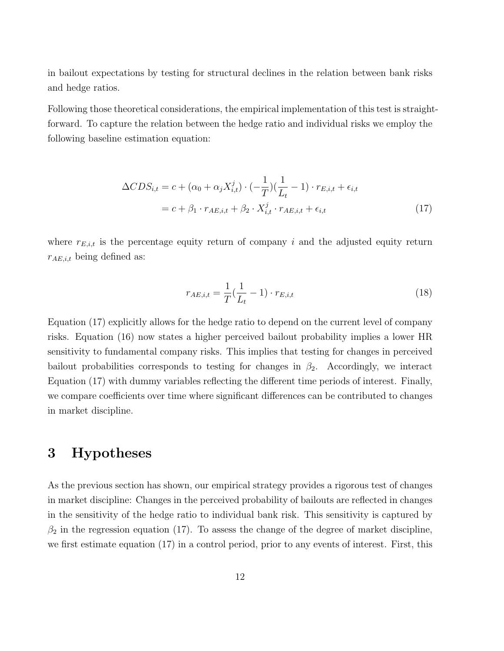in bailout expectations by testing for structural declines in the relation between bank risks and hedge ratios.

Following those theoretical considerations, the empirical implementation of this test is straightforward. To capture the relation between the hedge ratio and individual risks we employ the following baseline estimation equation:

$$
\Delta CDS_{i,t} = c + (\alpha_0 + \alpha_j X_{i,t}^j) \cdot (-\frac{1}{T}) (\frac{1}{L_t} - 1) \cdot r_{E,i,t} + \epsilon_{i,t}
$$
  
=  $c + \beta_1 \cdot r_{AE,i,t} + \beta_2 \cdot X_{i,t}^j \cdot r_{AE,i,t} + \epsilon_{i,t}$  (17)

where  $r_{E,i,t}$  is the percentage equity return of company i and the adjusted equity return  $r_{AE,i,t}$  being defined as:

$$
r_{AE,i,t} = \frac{1}{T}(\frac{1}{L_t} - 1) \cdot r_{E,i,t}
$$
\n(18)

Equation (17) explicitly allows for the hedge ratio to depend on the current level of company risks. Equation (16) now states a higher perceived bailout probability implies a lower HR sensitivity to fundamental company risks. This implies that testing for changes in perceived bailout probabilities corresponds to testing for changes in  $\beta_2$ . Accordingly, we interact Equation (17) with dummy variables reflecting the different time periods of interest. Finally, we compare coefficients over time where significant differences can be contributed to changes in market discipline.

## 3 Hypotheses

As the previous section has shown, our empirical strategy provides a rigorous test of changes in market discipline: Changes in the perceived probability of bailouts are reflected in changes in the sensitivity of the hedge ratio to individual bank risk. This sensitivity is captured by  $\beta_2$  in the regression equation (17). To assess the change of the degree of market discipline, we first estimate equation (17) in a control period, prior to any events of interest. First, this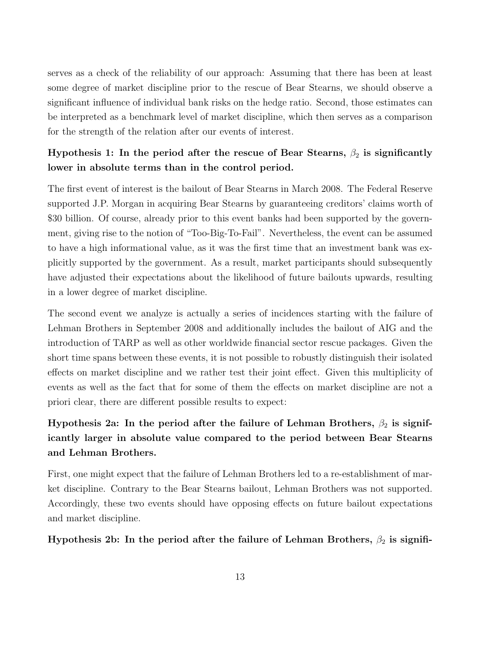serves as a check of the reliability of our approach: Assuming that there has been at least some degree of market discipline prior to the rescue of Bear Stearns, we should observe a significant influence of individual bank risks on the hedge ratio. Second, those estimates can be interpreted as a benchmark level of market discipline, which then serves as a comparison for the strength of the relation after our events of interest.

## Hypothesis 1: In the period after the rescue of Bear Stearns,  $\beta_2$  is significantly lower in absolute terms than in the control period.

The first event of interest is the bailout of Bear Stearns in March 2008. The Federal Reserve supported J.P. Morgan in acquiring Bear Stearns by guaranteeing creditors' claims worth of \$30 billion. Of course, already prior to this event banks had been supported by the government, giving rise to the notion of "Too-Big-To-Fail". Nevertheless, the event can be assumed to have a high informational value, as it was the first time that an investment bank was explicitly supported by the government. As a result, market participants should subsequently have adjusted their expectations about the likelihood of future bailouts upwards, resulting in a lower degree of market discipline.

The second event we analyze is actually a series of incidences starting with the failure of Lehman Brothers in September 2008 and additionally includes the bailout of AIG and the introduction of TARP as well as other worldwide financial sector rescue packages. Given the short time spans between these events, it is not possible to robustly distinguish their isolated effects on market discipline and we rather test their joint effect. Given this multiplicity of events as well as the fact that for some of them the effects on market discipline are not a priori clear, there are different possible results to expect:

## Hypothesis 2a: In the period after the failure of Lehman Brothers,  $\beta_2$  is significantly larger in absolute value compared to the period between Bear Stearns and Lehman Brothers.

First, one might expect that the failure of Lehman Brothers led to a re-establishment of market discipline. Contrary to the Bear Stearns bailout, Lehman Brothers was not supported. Accordingly, these two events should have opposing effects on future bailout expectations and market discipline.

Hypothesis 2b: In the period after the failure of Lehman Brothers,  $\beta_2$  is signifi-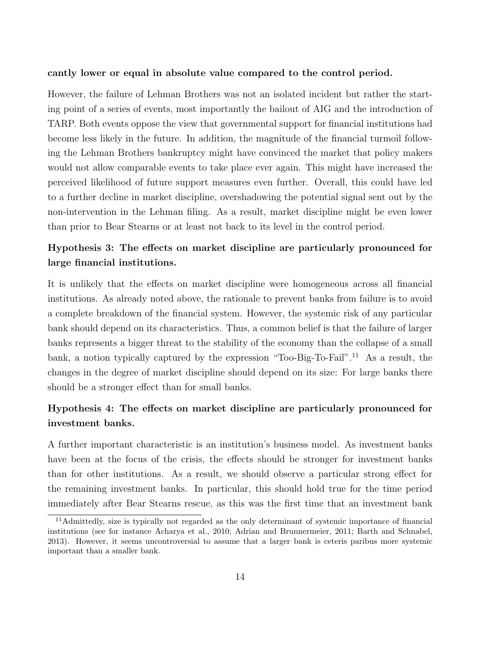#### cantly lower or equal in absolute value compared to the control period.

However, the failure of Lehman Brothers was not an isolated incident but rather the starting point of a series of events, most importantly the bailout of AIG and the introduction of TARP. Both events oppose the view that governmental support for financial institutions had become less likely in the future. In addition, the magnitude of the financial turmoil following the Lehman Brothers bankruptcy might have convinced the market that policy makers would not allow comparable events to take place ever again. This might have increased the perceived likelihood of future support measures even further. Overall, this could have led to a further decline in market discipline, overshadowing the potential signal sent out by the non-intervention in the Lehman filing. As a result, market discipline might be even lower than prior to Bear Stearns or at least not back to its level in the control period.

## Hypothesis 3: The effects on market discipline are particularly pronounced for large financial institutions.

It is unlikely that the effects on market discipline were homogeneous across all financial institutions. As already noted above, the rationale to prevent banks from failure is to avoid a complete breakdown of the financial system. However, the systemic risk of any particular bank should depend on its characteristics. Thus, a common belief is that the failure of larger banks represents a bigger threat to the stability of the economy than the collapse of a small bank, a notion typically captured by the expression "Too-Big-To-Fail".<sup>11</sup> As a result, the changes in the degree of market discipline should depend on its size: For large banks there should be a stronger effect than for small banks.

## Hypothesis 4: The effects on market discipline are particularly pronounced for investment banks.

A further important characteristic is an institution's business model. As investment banks have been at the focus of the crisis, the effects should be stronger for investment banks than for other institutions. As a result, we should observe a particular strong effect for the remaining investment banks. In particular, this should hold true for the time period immediately after Bear Stearns rescue, as this was the first time that an investment bank

<sup>11</sup>Admittedly, size is typically not regarded as the only determinant of systemic importance of financial institutions (see for instance Acharya et al., 2010; Adrian and Brunnermeier, 2011; Barth and Schnabel, 2013). However, it seems uncontroversial to assume that a larger bank is ceteris paribus more systemic important than a smaller bank.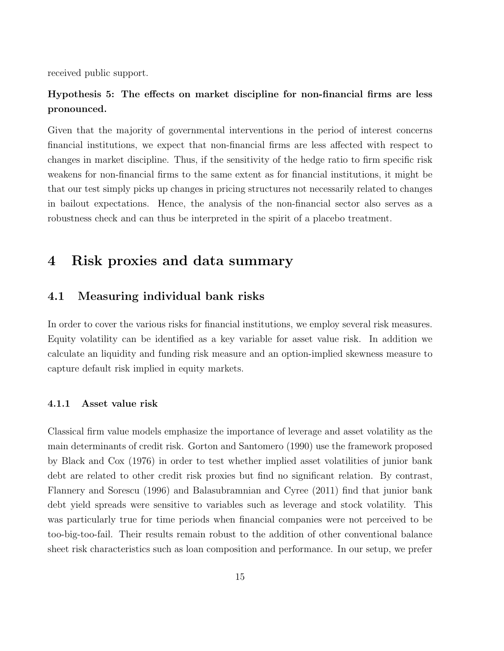received public support.

## Hypothesis 5: The effects on market discipline for non-financial firms are less pronounced.

Given that the majority of governmental interventions in the period of interest concerns financial institutions, we expect that non-financial firms are less affected with respect to changes in market discipline. Thus, if the sensitivity of the hedge ratio to firm specific risk weakens for non-financial firms to the same extent as for financial institutions, it might be that our test simply picks up changes in pricing structures not necessarily related to changes in bailout expectations. Hence, the analysis of the non-financial sector also serves as a robustness check and can thus be interpreted in the spirit of a placebo treatment.

## 4 Risk proxies and data summary

#### 4.1 Measuring individual bank risks

In order to cover the various risks for financial institutions, we employ several risk measures. Equity volatility can be identified as a key variable for asset value risk. In addition we calculate an liquidity and funding risk measure and an option-implied skewness measure to capture default risk implied in equity markets.

#### 4.1.1 Asset value risk

Classical firm value models emphasize the importance of leverage and asset volatility as the main determinants of credit risk. Gorton and Santomero (1990) use the framework proposed by Black and Cox (1976) in order to test whether implied asset volatilities of junior bank debt are related to other credit risk proxies but find no significant relation. By contrast, Flannery and Sorescu (1996) and Balasubramnian and Cyree (2011) find that junior bank debt yield spreads were sensitive to variables such as leverage and stock volatility. This was particularly true for time periods when financial companies were not perceived to be too-big-too-fail. Their results remain robust to the addition of other conventional balance sheet risk characteristics such as loan composition and performance. In our setup, we prefer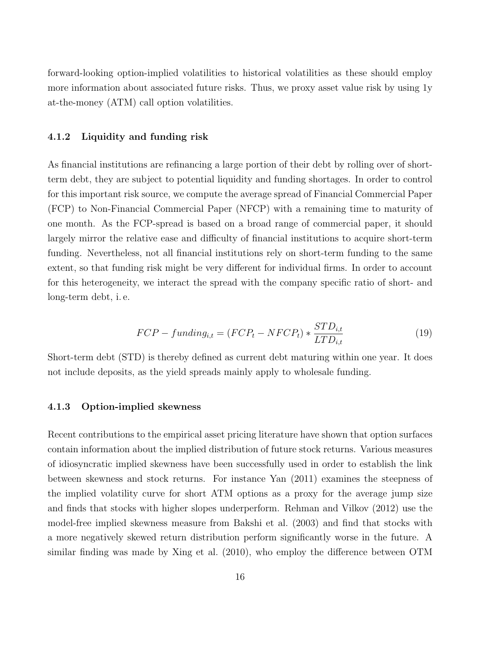forward-looking option-implied volatilities to historical volatilities as these should employ more information about associated future risks. Thus, we proxy asset value risk by using 1y at-the-money (ATM) call option volatilities.

#### 4.1.2 Liquidity and funding risk

As financial institutions are refinancing a large portion of their debt by rolling over of shortterm debt, they are subject to potential liquidity and funding shortages. In order to control for this important risk source, we compute the average spread of Financial Commercial Paper (FCP) to Non-Financial Commercial Paper (NFCP) with a remaining time to maturity of one month. As the FCP-spread is based on a broad range of commercial paper, it should largely mirror the relative ease and difficulty of financial institutions to acquire short-term funding. Nevertheless, not all financial institutions rely on short-term funding to the same extent, so that funding risk might be very different for individual firms. In order to account for this heterogeneity, we interact the spread with the company specific ratio of short- and long-term debt, i. e.

$$
FCP - funding_{i,t} = (FCP_t - NFCP_t) * \frac{STD_{i,t}}{LTD_{i,t}} \tag{19}
$$

Short-term debt (STD) is thereby defined as current debt maturing within one year. It does not include deposits, as the yield spreads mainly apply to wholesale funding.

#### 4.1.3 Option-implied skewness

Recent contributions to the empirical asset pricing literature have shown that option surfaces contain information about the implied distribution of future stock returns. Various measures of idiosyncratic implied skewness have been successfully used in order to establish the link between skewness and stock returns. For instance Yan (2011) examines the steepness of the implied volatility curve for short ATM options as a proxy for the average jump size and finds that stocks with higher slopes underperform. Rehman and Vilkov (2012) use the model-free implied skewness measure from Bakshi et al. (2003) and find that stocks with a more negatively skewed return distribution perform significantly worse in the future. A similar finding was made by Xing et al. (2010), who employ the difference between OTM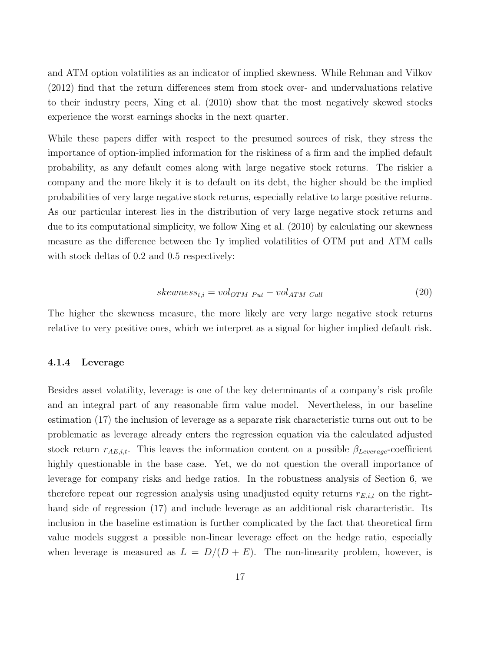and ATM option volatilities as an indicator of implied skewness. While Rehman and Vilkov (2012) find that the return differences stem from stock over- and undervaluations relative to their industry peers, Xing et al. (2010) show that the most negatively skewed stocks experience the worst earnings shocks in the next quarter.

While these papers differ with respect to the presumed sources of risk, they stress the importance of option-implied information for the riskiness of a firm and the implied default probability, as any default comes along with large negative stock returns. The riskier a company and the more likely it is to default on its debt, the higher should be the implied probabilities of very large negative stock returns, especially relative to large positive returns. As our particular interest lies in the distribution of very large negative stock returns and due to its computational simplicity, we follow Xing et al. (2010) by calculating our skewness measure as the difference between the 1y implied volatilities of OTM put and ATM calls with stock deltas of 0.2 and 0.5 respectively:

$$
skewness_{t,i} = vol_{OTM\ Put} - vol_{ATM\ Call} \tag{20}
$$

The higher the skewness measure, the more likely are very large negative stock returns relative to very positive ones, which we interpret as a signal for higher implied default risk.

#### 4.1.4 Leverage

Besides asset volatility, leverage is one of the key determinants of a company's risk profile and an integral part of any reasonable firm value model. Nevertheless, in our baseline estimation (17) the inclusion of leverage as a separate risk characteristic turns out out to be problematic as leverage already enters the regression equation via the calculated adjusted stock return  $r_{AE,i,t}$ . This leaves the information content on a possible  $\beta_{Leverage}$ -coefficient highly questionable in the base case. Yet, we do not question the overall importance of leverage for company risks and hedge ratios. In the robustness analysis of Section 6, we therefore repeat our regression analysis using unadjusted equity returns  $r_{E,i,t}$  on the righthand side of regression (17) and include leverage as an additional risk characteristic. Its inclusion in the baseline estimation is further complicated by the fact that theoretical firm value models suggest a possible non-linear leverage effect on the hedge ratio, especially when leverage is measured as  $L = D/(D + E)$ . The non-linearity problem, however, is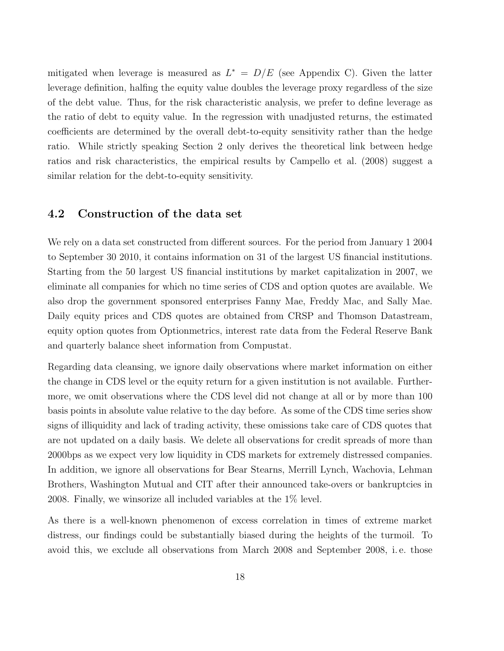mitigated when leverage is measured as  $L^* = D/E$  (see Appendix C). Given the latter leverage definition, halfing the equity value doubles the leverage proxy regardless of the size of the debt value. Thus, for the risk characteristic analysis, we prefer to define leverage as the ratio of debt to equity value. In the regression with unadjusted returns, the estimated coefficients are determined by the overall debt-to-equity sensitivity rather than the hedge ratio. While strictly speaking Section 2 only derives the theoretical link between hedge ratios and risk characteristics, the empirical results by Campello et al. (2008) suggest a similar relation for the debt-to-equity sensitivity.

### 4.2 Construction of the data set

We rely on a data set constructed from different sources. For the period from January 1 2004 to September 30 2010, it contains information on 31 of the largest US financial institutions. Starting from the 50 largest US financial institutions by market capitalization in 2007, we eliminate all companies for which no time series of CDS and option quotes are available. We also drop the government sponsored enterprises Fanny Mae, Freddy Mac, and Sally Mae. Daily equity prices and CDS quotes are obtained from CRSP and Thomson Datastream, equity option quotes from Optionmetrics, interest rate data from the Federal Reserve Bank and quarterly balance sheet information from Compustat.

Regarding data cleansing, we ignore daily observations where market information on either the change in CDS level or the equity return for a given institution is not available. Furthermore, we omit observations where the CDS level did not change at all or by more than 100 basis points in absolute value relative to the day before. As some of the CDS time series show signs of illiquidity and lack of trading activity, these omissions take care of CDS quotes that are not updated on a daily basis. We delete all observations for credit spreads of more than 2000bps as we expect very low liquidity in CDS markets for extremely distressed companies. In addition, we ignore all observations for Bear Stearns, Merrill Lynch, Wachovia, Lehman Brothers, Washington Mutual and CIT after their announced take-overs or bankruptcies in 2008. Finally, we winsorize all included variables at the 1% level.

As there is a well-known phenomenon of excess correlation in times of extreme market distress, our findings could be substantially biased during the heights of the turmoil. To avoid this, we exclude all observations from March 2008 and September 2008, i. e. those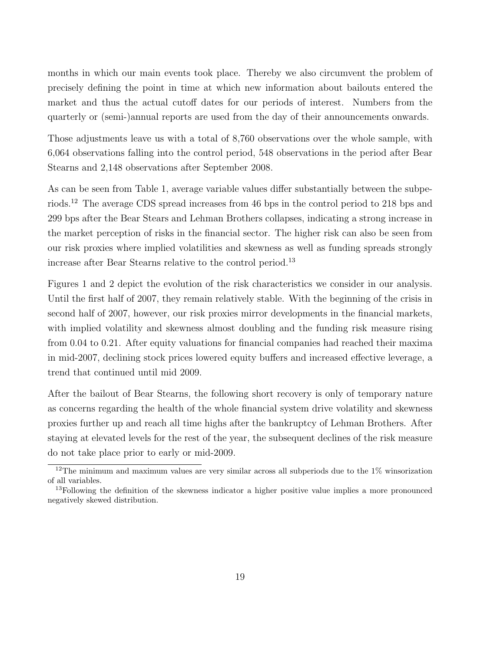months in which our main events took place. Thereby we also circumvent the problem of precisely defining the point in time at which new information about bailouts entered the market and thus the actual cutoff dates for our periods of interest. Numbers from the quarterly or (semi-)annual reports are used from the day of their announcements onwards.

Those adjustments leave us with a total of 8,760 observations over the whole sample, with 6,064 observations falling into the control period, 548 observations in the period after Bear Stearns and 2,148 observations after September 2008.

As can be seen from Table 1, average variable values differ substantially between the subperiods.<sup>12</sup> The average CDS spread increases from 46 bps in the control period to 218 bps and 299 bps after the Bear Stears and Lehman Brothers collapses, indicating a strong increase in the market perception of risks in the financial sector. The higher risk can also be seen from our risk proxies where implied volatilities and skewness as well as funding spreads strongly increase after Bear Stearns relative to the control period.<sup>13</sup>

Figures 1 and 2 depict the evolution of the risk characteristics we consider in our analysis. Until the first half of 2007, they remain relatively stable. With the beginning of the crisis in second half of 2007, however, our risk proxies mirror developments in the financial markets, with implied volatility and skewness almost doubling and the funding risk measure rising from 0.04 to 0.21. After equity valuations for financial companies had reached their maxima in mid-2007, declining stock prices lowered equity buffers and increased effective leverage, a trend that continued until mid 2009.

After the bailout of Bear Stearns, the following short recovery is only of temporary nature as concerns regarding the health of the whole financial system drive volatility and skewness proxies further up and reach all time highs after the bankruptcy of Lehman Brothers. After staying at elevated levels for the rest of the year, the subsequent declines of the risk measure do not take place prior to early or mid-2009.

<sup>&</sup>lt;sup>12</sup>The minimum and maximum values are very similar across all subperiods due to the 1% winsorization of all variables.

 $13$ Following the definition of the skewness indicator a higher positive value implies a more pronounced negatively skewed distribution.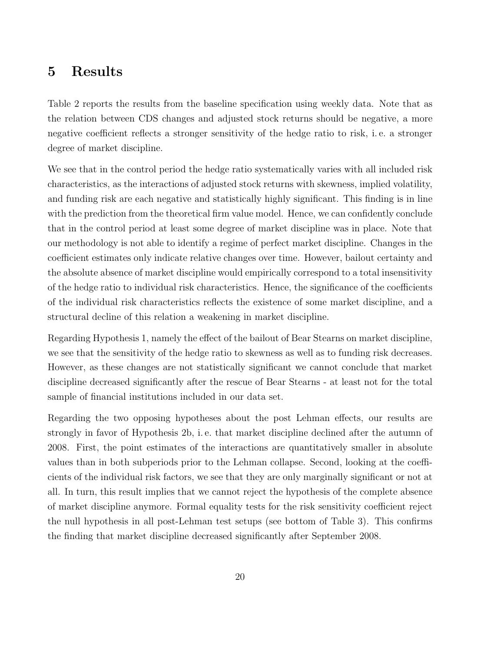## 5 Results

Table 2 reports the results from the baseline specification using weekly data. Note that as the relation between CDS changes and adjusted stock returns should be negative, a more negative coefficient reflects a stronger sensitivity of the hedge ratio to risk, i. e. a stronger degree of market discipline.

We see that in the control period the hedge ratio systematically varies with all included risk characteristics, as the interactions of adjusted stock returns with skewness, implied volatility, and funding risk are each negative and statistically highly significant. This finding is in line with the prediction from the theoretical firm value model. Hence, we can confidently conclude that in the control period at least some degree of market discipline was in place. Note that our methodology is not able to identify a regime of perfect market discipline. Changes in the coefficient estimates only indicate relative changes over time. However, bailout certainty and the absolute absence of market discipline would empirically correspond to a total insensitivity of the hedge ratio to individual risk characteristics. Hence, the significance of the coefficients of the individual risk characteristics reflects the existence of some market discipline, and a structural decline of this relation a weakening in market discipline.

Regarding Hypothesis 1, namely the effect of the bailout of Bear Stearns on market discipline, we see that the sensitivity of the hedge ratio to skewness as well as to funding risk decreases. However, as these changes are not statistically significant we cannot conclude that market discipline decreased significantly after the rescue of Bear Stearns - at least not for the total sample of financial institutions included in our data set.

Regarding the two opposing hypotheses about the post Lehman effects, our results are strongly in favor of Hypothesis 2b, i. e. that market discipline declined after the autumn of 2008. First, the point estimates of the interactions are quantitatively smaller in absolute values than in both subperiods prior to the Lehman collapse. Second, looking at the coefficients of the individual risk factors, we see that they are only marginally significant or not at all. In turn, this result implies that we cannot reject the hypothesis of the complete absence of market discipline anymore. Formal equality tests for the risk sensitivity coefficient reject the null hypothesis in all post-Lehman test setups (see bottom of Table 3). This confirms the finding that market discipline decreased significantly after September 2008.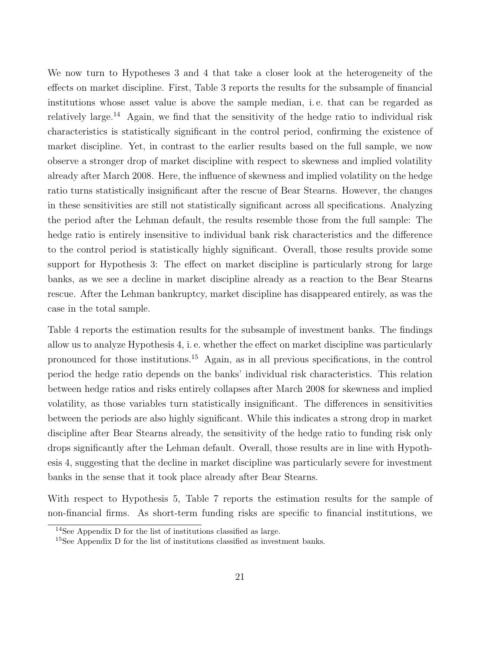We now turn to Hypotheses 3 and 4 that take a closer look at the heterogeneity of the effects on market discipline. First, Table 3 reports the results for the subsample of financial institutions whose asset value is above the sample median, i. e. that can be regarded as relatively large.<sup>14</sup> Again, we find that the sensitivity of the hedge ratio to individual risk characteristics is statistically significant in the control period, confirming the existence of market discipline. Yet, in contrast to the earlier results based on the full sample, we now observe a stronger drop of market discipline with respect to skewness and implied volatility already after March 2008. Here, the influence of skewness and implied volatility on the hedge ratio turns statistically insignificant after the rescue of Bear Stearns. However, the changes in these sensitivities are still not statistically significant across all specifications. Analyzing the period after the Lehman default, the results resemble those from the full sample: The hedge ratio is entirely insensitive to individual bank risk characteristics and the difference to the control period is statistically highly significant. Overall, those results provide some support for Hypothesis 3: The effect on market discipline is particularly strong for large banks, as we see a decline in market discipline already as a reaction to the Bear Stearns rescue. After the Lehman bankruptcy, market discipline has disappeared entirely, as was the case in the total sample.

Table 4 reports the estimation results for the subsample of investment banks. The findings allow us to analyze Hypothesis 4, i. e. whether the effect on market discipline was particularly pronounced for those institutions.<sup>15</sup> Again, as in all previous specifications, in the control period the hedge ratio depends on the banks' individual risk characteristics. This relation between hedge ratios and risks entirely collapses after March 2008 for skewness and implied volatility, as those variables turn statistically insignificant. The differences in sensitivities between the periods are also highly significant. While this indicates a strong drop in market discipline after Bear Stearns already, the sensitivity of the hedge ratio to funding risk only drops significantly after the Lehman default. Overall, those results are in line with Hypothesis 4, suggesting that the decline in market discipline was particularly severe for investment banks in the sense that it took place already after Bear Stearns.

With respect to Hypothesis 5, Table 7 reports the estimation results for the sample of non-financial firms. As short-term funding risks are specific to financial institutions, we

<sup>14</sup>See Appendix D for the list of institutions classified as large.

<sup>15</sup>See Appendix D for the list of institutions classified as investment banks.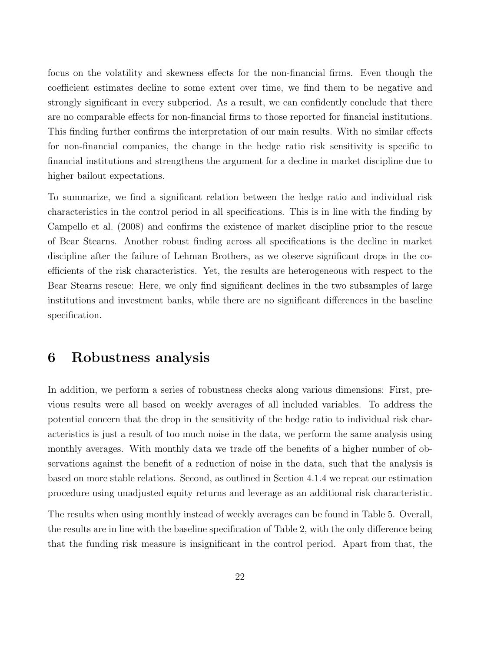focus on the volatility and skewness effects for the non-financial firms. Even though the coefficient estimates decline to some extent over time, we find them to be negative and strongly significant in every subperiod. As a result, we can confidently conclude that there are no comparable effects for non-financial firms to those reported for financial institutions. This finding further confirms the interpretation of our main results. With no similar effects for non-financial companies, the change in the hedge ratio risk sensitivity is specific to financial institutions and strengthens the argument for a decline in market discipline due to higher bailout expectations.

To summarize, we find a significant relation between the hedge ratio and individual risk characteristics in the control period in all specifications. This is in line with the finding by Campello et al. (2008) and confirms the existence of market discipline prior to the rescue of Bear Stearns. Another robust finding across all specifications is the decline in market discipline after the failure of Lehman Brothers, as we observe significant drops in the coefficients of the risk characteristics. Yet, the results are heterogeneous with respect to the Bear Stearns rescue: Here, we only find significant declines in the two subsamples of large institutions and investment banks, while there are no significant differences in the baseline specification.

## 6 Robustness analysis

In addition, we perform a series of robustness checks along various dimensions: First, previous results were all based on weekly averages of all included variables. To address the potential concern that the drop in the sensitivity of the hedge ratio to individual risk characteristics is just a result of too much noise in the data, we perform the same analysis using monthly averages. With monthly data we trade off the benefits of a higher number of observations against the benefit of a reduction of noise in the data, such that the analysis is based on more stable relations. Second, as outlined in Section 4.1.4 we repeat our estimation procedure using unadjusted equity returns and leverage as an additional risk characteristic.

The results when using monthly instead of weekly averages can be found in Table 5. Overall, the results are in line with the baseline specification of Table 2, with the only difference being that the funding risk measure is insignificant in the control period. Apart from that, the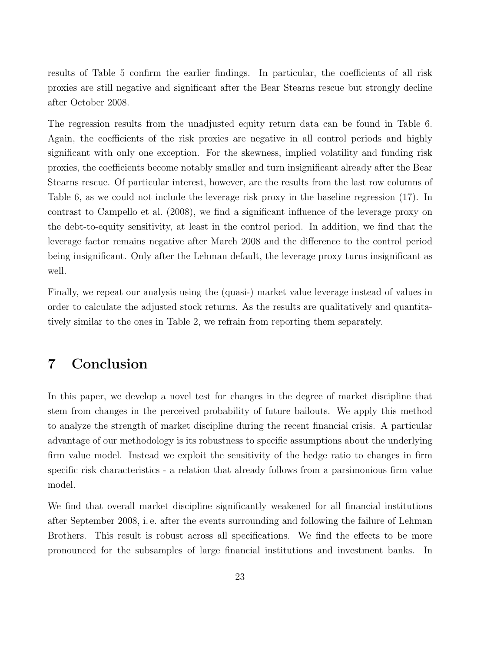results of Table 5 confirm the earlier findings. In particular, the coefficients of all risk proxies are still negative and significant after the Bear Stearns rescue but strongly decline after October 2008.

The regression results from the unadjusted equity return data can be found in Table 6. Again, the coefficients of the risk proxies are negative in all control periods and highly significant with only one exception. For the skewness, implied volatility and funding risk proxies, the coefficients become notably smaller and turn insignificant already after the Bear Stearns rescue. Of particular interest, however, are the results from the last row columns of Table 6, as we could not include the leverage risk proxy in the baseline regression (17). In contrast to Campello et al. (2008), we find a significant influence of the leverage proxy on the debt-to-equity sensitivity, at least in the control period. In addition, we find that the leverage factor remains negative after March 2008 and the difference to the control period being insignificant. Only after the Lehman default, the leverage proxy turns insignificant as well.

Finally, we repeat our analysis using the (quasi-) market value leverage instead of values in order to calculate the adjusted stock returns. As the results are qualitatively and quantitatively similar to the ones in Table 2, we refrain from reporting them separately.

## 7 Conclusion

In this paper, we develop a novel test for changes in the degree of market discipline that stem from changes in the perceived probability of future bailouts. We apply this method to analyze the strength of market discipline during the recent financial crisis. A particular advantage of our methodology is its robustness to specific assumptions about the underlying firm value model. Instead we exploit the sensitivity of the hedge ratio to changes in firm specific risk characteristics - a relation that already follows from a parsimonious firm value model.

We find that overall market discipline significantly weakened for all financial institutions after September 2008, i. e. after the events surrounding and following the failure of Lehman Brothers. This result is robust across all specifications. We find the effects to be more pronounced for the subsamples of large financial institutions and investment banks. In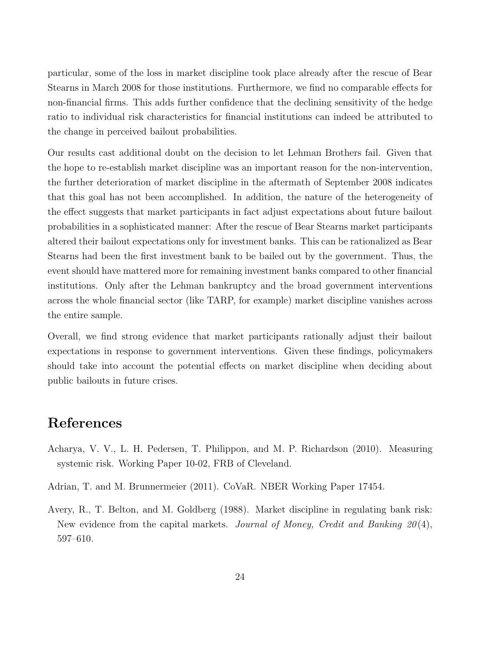particular, some of the loss in market discipline took place already after the rescue of Bear Stearns in March 2008 for those institutions. Furthermore, we find no comparable effects for non-financial firms. This adds further confidence that the declining sensitivity of the hedge ratio to individual risk characteristics for financial institutions can indeed be attributed to the change in perceived bailout probabilities.

Our results cast additional doubt on the decision to let Lehman Brothers fail. Given that the hope to re-establish market discipline was an important reason for the non-intervention, the further deterioration of market discipline in the aftermath of September 2008 indicates that this goal has not been accomplished. In addition, the nature of the heterogeneity of the effect suggests that market participants in fact adjust expectations about future bailout probabilities in a sophisticated manner: After the rescue of Bear Stearns market participants altered their bailout expectations only for investment banks. This can be rationalized as Bear Stearns had been the first investment bank to be bailed out by the government. Thus, the event should have mattered more for remaining investment banks compared to other financial institutions. Only after the Lehman bankruptcy and the broad government interventions across the whole financial sector (like TARP, for example) market discipline vanishes across the entire sample.

Overall, we find strong evidence that market participants rationally adjust their bailout expectations in response to government interventions. Given these findings, policymakers should take into account the potential effects on market discipline when deciding about public bailouts in future crises.

## References

- Acharya, V. V., L. H. Pedersen, T. Philippon, and M. P. Richardson (2010). Measuring systemic risk. Working Paper 10-02, FRB of Cleveland.
- Adrian, T. and M. Brunnermeier (2011). CoVaR. NBER Working Paper 17454.
- Avery, R., T. Belton, and M. Goldberg (1988). Market discipline in regulating bank risk: New evidence from the capital markets. Journal of Money, Credit and Banking  $20(4)$ , 597–610.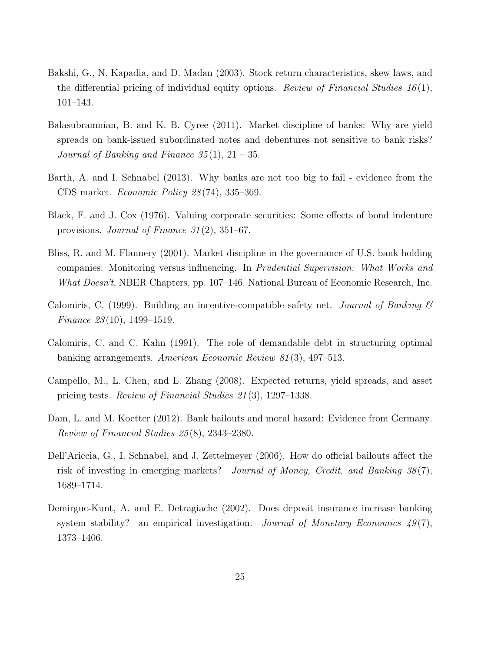- Bakshi, G., N. Kapadia, and D. Madan (2003). Stock return characteristics, skew laws, and the differential pricing of individual equity options. Review of Financial Studies  $16(1)$ , 101–143.
- Balasubramnian, B. and K. B. Cyree (2011). Market discipline of banks: Why are yield spreads on bank-issued subordinated notes and debentures not sensitive to bank risks? Journal of Banking and Finance  $35(1)$ ,  $21-35$ .
- Barth, A. and I. Schnabel (2013). Why banks are not too big to fail evidence from the CDS market. Economic Policy 28 (74), 335–369.
- Black, F. and J. Cox (1976). Valuing corporate securities: Some effects of bond indenture provisions. Journal of Finance 31 (2), 351–67.
- Bliss, R. and M. Flannery (2001). Market discipline in the governance of U.S. bank holding companies: Monitoring versus influencing. In Prudential Supervision: What Works and What Doesn't, NBER Chapters, pp. 107–146. National Bureau of Economic Research, Inc.
- Calomiris, C. (1999). Building an incentive-compatible safety net. Journal of Banking  $\mathcal C$ Finance 23(10), 1499–1519.
- Calomiris, C. and C. Kahn (1991). The role of demandable debt in structuring optimal banking arrangements. American Economic Review 81 (3), 497–513.
- Campello, M., L. Chen, and L. Zhang (2008). Expected returns, yield spreads, and asset pricing tests. Review of Financial Studies 21 (3), 1297–1338.
- Dam, L. and M. Koetter (2012). Bank bailouts and moral hazard: Evidence from Germany. Review of Financial Studies 25 (8), 2343–2380.
- Dell'Ariccia, G., I. Schnabel, and J. Zettelmeyer (2006). How do official bailouts affect the risk of investing in emerging markets? Journal of Money, Credit, and Banking  $38(7)$ , 1689–1714.
- Demirguc-Kunt, A. and E. Detragiache (2002). Does deposit insurance increase banking system stability? an empirical investigation. Journal of Monetary Economics  $49(7)$ , 1373–1406.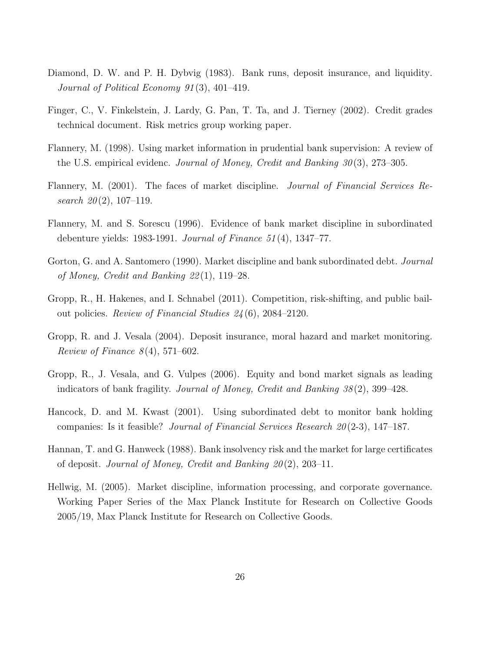- Diamond, D. W. and P. H. Dybvig (1983). Bank runs, deposit insurance, and liquidity. Journal of Political Economy 91 (3), 401–419.
- Finger, C., V. Finkelstein, J. Lardy, G. Pan, T. Ta, and J. Tierney (2002). Credit grades technical document. Risk metrics group working paper.
- Flannery, M. (1998). Using market information in prudential bank supervision: A review of the U.S. empirical evidenc. Journal of Money, Credit and Banking  $30(3)$ , 273–305.
- Flannery, M. (2001). The faces of market discipline. Journal of Financial Services Research  $20(2)$ , 107-119.
- Flannery, M. and S. Sorescu (1996). Evidence of bank market discipline in subordinated debenture yields: 1983-1991. Journal of Finance 51 (4), 1347–77.
- Gorton, G. and A. Santomero (1990). Market discipline and bank subordinated debt. *Journal* of Money, Credit and Banking 22 (1), 119–28.
- Gropp, R., H. Hakenes, and I. Schnabel (2011). Competition, risk-shifting, and public bailout policies. Review of Financial Studies 24 (6), 2084–2120.
- Gropp, R. and J. Vesala (2004). Deposit insurance, moral hazard and market monitoring. Review of Finance  $8(4)$ , 571–602.
- Gropp, R., J. Vesala, and G. Vulpes (2006). Equity and bond market signals as leading indicators of bank fragility. Journal of Money, Credit and Banking 38 (2), 399–428.
- Hancock, D. and M. Kwast (2001). Using subordinated debt to monitor bank holding companies: Is it feasible? *Journal of Financial Services Research 20* (2-3), 147–187.
- Hannan, T. and G. Hanweck (1988). Bank insolvency risk and the market for large certificates of deposit. Journal of Money, Credit and Banking  $20(2)$ , 203–11.
- Hellwig, M. (2005). Market discipline, information processing, and corporate governance. Working Paper Series of the Max Planck Institute for Research on Collective Goods 2005/19, Max Planck Institute for Research on Collective Goods.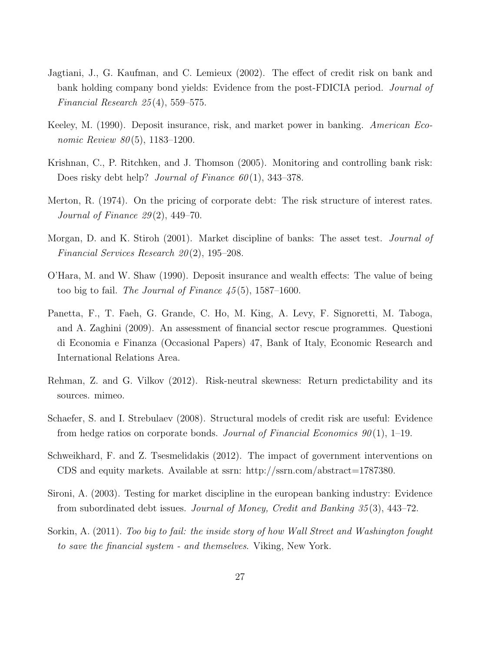- Jagtiani, J., G. Kaufman, and C. Lemieux (2002). The effect of credit risk on bank and bank holding company bond yields: Evidence from the post-FDICIA period. Journal of Financial Research  $25(4)$ , 559–575.
- Keeley, M. (1990). Deposit insurance, risk, and market power in banking. American Economic Review  $80(5)$ , 1183-1200.
- Krishnan, C., P. Ritchken, and J. Thomson (2005). Monitoring and controlling bank risk: Does risky debt help? Journal of Finance  $60(1)$ , 343–378.
- Merton, R. (1974). On the pricing of corporate debt: The risk structure of interest rates. Journal of Finance  $29(2)$ , 449–70.
- Morgan, D. and K. Stiroh (2001). Market discipline of banks: The asset test. *Journal of* Financial Services Research  $20(2)$ , 195–208.
- O'Hara, M. and W. Shaw (1990). Deposit insurance and wealth effects: The value of being too big to fail. The Journal of Finance  $45(5)$ , 1587–1600.
- Panetta, F., T. Faeh, G. Grande, C. Ho, M. King, A. Levy, F. Signoretti, M. Taboga, and A. Zaghini (2009). An assessment of financial sector rescue programmes. Questioni di Economia e Finanza (Occasional Papers) 47, Bank of Italy, Economic Research and International Relations Area.
- Rehman, Z. and G. Vilkov (2012). Risk-neutral skewness: Return predictability and its sources. mimeo.
- Schaefer, S. and I. Strebulaev (2008). Structural models of credit risk are useful: Evidence from hedge ratios on corporate bonds. Journal of Financial Economics  $90(1)$ , 1–19.
- Schweikhard, F. and Z. Tsesmelidakis (2012). The impact of government interventions on CDS and equity markets. Available at ssrn: http://ssrn.com/abstract=1787380.
- Sironi, A. (2003). Testing for market discipline in the european banking industry: Evidence from subordinated debt issues. Journal of Money, Credit and Banking 35 (3), 443–72.
- Sorkin, A. (2011). Too big to fail: the inside story of how Wall Street and Washington fought to save the financial system - and themselves. Viking, New York.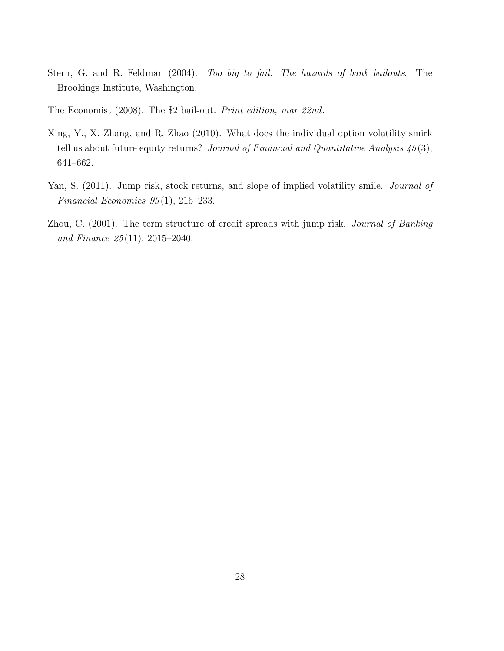- Stern, G. and R. Feldman (2004). Too big to fail: The hazards of bank bailouts. The Brookings Institute, Washington.
- The Economist (2008). The \$2 bail-out. Print edition, mar 22nd.
- Xing, Y., X. Zhang, and R. Zhao (2010). What does the individual option volatility smirk tell us about future equity returns? Journal of Financial and Quantitative Analysis  $\frac{45(3)}{10}$ , 641–662.
- Yan, S. (2011). Jump risk, stock returns, and slope of implied volatility smile. *Journal of* Financial Economics  $99(1)$ ,  $216-233$ .
- Zhou, C. (2001). The term structure of credit spreads with jump risk. Journal of Banking and Finance 25 (11), 2015–2040.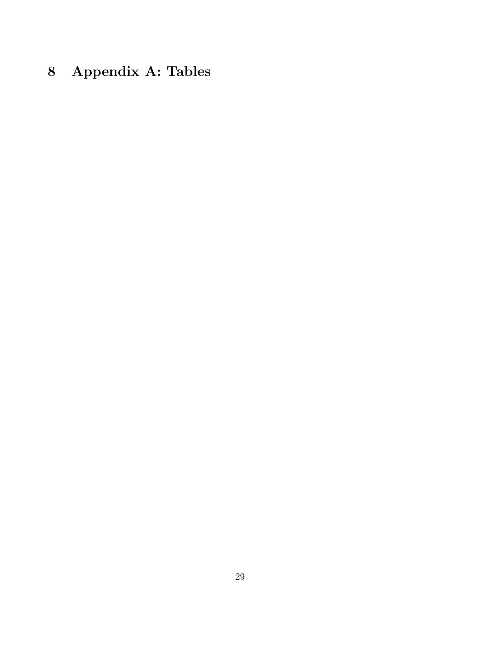# 8 Appendix A: Tables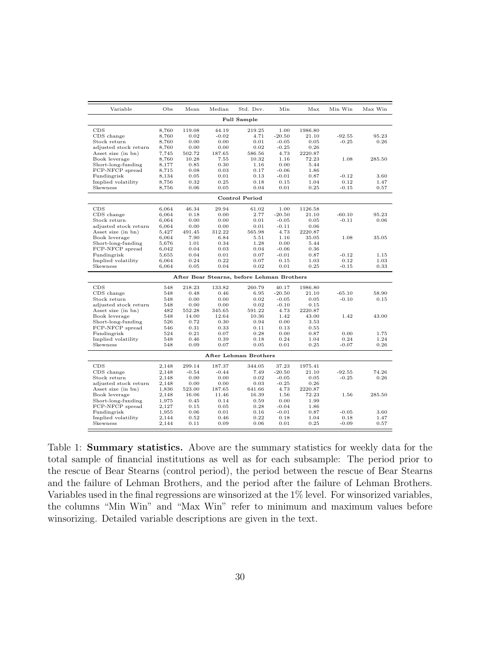| Variable                            | Obs            | Mean            | Median          | Std. Dev.                                  | Min          | Max              | Min Win  | Max Win |
|-------------------------------------|----------------|-----------------|-----------------|--------------------------------------------|--------------|------------------|----------|---------|
|                                     |                |                 |                 | <b>Full Sample</b>                         |              |                  |          |         |
| CDS                                 | 8,760          | 119.08          | 44.19           | 219.25                                     | 1.00         | 1986.80          |          |         |
| CDS change                          | 8,760          | 0.02            | $-0.02$         | 4.71                                       | $-20.50$     | 21.10            | $-92.55$ | 95.23   |
| Stock return                        | 8,760          | 0.00            | 0.00            | 0.01                                       | $-0.05$      | 0.05             | $-0.25$  | 0.26    |
| adjusted stock return               | 8,760          | 0.00            | 0.00            | 0.02                                       | $-0.25$      | 0.26             |          |         |
| Asset size (in bn)<br>Book leverage | 7,745          | 502.72<br>10.28 | 187.65<br>7.55  | 586.56<br>10.32                            | 4.73<br>1.16 | 2220.87<br>72.23 | 1.08     | 285.50  |
| Short-long-funding                  | 8,760<br>8,177 | 0.85            | 0.30            | 1.16                                       | 0.00         | 5.44             |          |         |
| FCP-NFCP spread                     | 8.715          | 0.08            | 0.03            | 0.17                                       | $-0.06$      | 1.86             |          |         |
| Fundingrisk                         | 8,134          | 0.05            | 0.01            | 0.13                                       | $-0.01$      | 0.87             | $-0.12$  | 3.60    |
| Implied volatility                  | 8,756          | 0.32            | 0.25            | 0.18                                       | 0.15         | 1.04             | 0.12     | 1.47    |
| Skewness                            | 8,756          | 0.06            | 0.05            | 0.04                                       | 0.01         | 0.25             | $-0.15$  | 0.57    |
|                                     |                |                 |                 | Control Period                             |              |                  |          |         |
| CDS                                 | 6,064          | 46.34           | 29.94           | 61.02                                      | 1.00         | 1126.58          |          |         |
| CDS change                          | 6,064          | 0.18            | 0.00            | 2.77                                       | $-20.50$     | 21.10            | $-60.10$ | 95.23   |
| Stock return                        | 6,064          | 0.00            | 0.00            | 0.01                                       | $-0.05$      | 0.05             | $-0.11$  | 0.06    |
| adjusted stock return               | 6,064          | 0.00            | 0.00            | 0.01                                       | $-0.11$      | 0.06             |          |         |
| Asset size (in bn)                  | 5,427          | 491.45          | 312.22          | 565.98                                     | 4.73         | 2220.87          |          |         |
| Book leverage                       | 6.064          | 7.90            | 6.84            | 5.51                                       | 1.16         | 35.05            | 1.08     | 35.05   |
| Short-long-funding                  | 5,676          | 1.01            | 0.34            | 1.28                                       | 0.00         | 5.44             |          |         |
| FCP-NFCP spread                     | 6,042          | 0.04            | 0.03            | 0.04                                       | $-0.06$      | 0.36             |          |         |
| Fundingrisk                         | 5,655          | 0.04            | 0.01            | 0.07                                       | $-0.01$      | 0.87             | $-0.12$  | 1.15    |
| Implied volatility                  | 6,064          | 0.24            | 0.22            | 0.07                                       | 0.15         | 1.03             | 0.12     | 1.03    |
| Skewness                            | 6,064          | 0.05            | 0.04            | 0.02                                       | 0.01         | 0.25             | $-0.15$  | 0.33    |
|                                     |                |                 |                 | After Bear Stearns, before Lehman Brothers |              |                  |          |         |
| CDS                                 | 548            | 218.23          | 133.82          | 260.79                                     | 40.17        | 1986.80          |          |         |
| CDS change                          | 548            | 0.48            | 0.46            | 6.95                                       | $-20.50$     | 21.10            | $-65.10$ | 58.90   |
| Stock return                        | 548            | 0.00            | 0.00            | 0.02                                       | $-0.05$      | 0.05             | $-0.10$  | 0.15    |
| adjusted stock return               | 548            | 0.00            | 0.00            | 0.02                                       | $-0.10$      | 0.15             |          |         |
| Asset size (in bn)<br>Book leverage | 482<br>548     | 552.28<br>14.00 | 345.65<br>12.64 | 591.22<br>10.36                            | 4.73<br>1.42 | 2220.87<br>43.00 | 1.42     | 43.00   |
| Short-long-funding                  | 526            | 0.72            | 0.30            | 0.94                                       | 0.00         | 3.53             |          |         |
| FCP-NFCP spread                     | 546            | 0.31            | 0.33            | 0.11                                       | 0.13         | 0.55             |          |         |
| Fundingrisk                         | 524            | 0.21            | 0.07            | 0.28                                       | 0.00         | 0.87             | 0.00     | 1.75    |
| Implied volatility                  | 548            | 0.46            | 0.39            | 0.18                                       | 0.24         | 1.04             | 0.24     | 1.24    |
| Skewness                            | 548            | 0.09            | 0.07            | 0.05                                       | 0.01         | 0.25             | $-0.07$  | 0.26    |
|                                     |                |                 |                 | After Lehman Brothers                      |              |                  |          |         |
| CDS                                 | 2.148          | 299.14          | 187.37          | 344.05                                     | 37.23        | 1975.41          |          |         |
| CDS change                          | 2,148          | $-0.54$         | $-0.44$         | 7.49                                       | $-20.50$     | 21.10            | $-92.55$ | 74.26   |
| Stock return                        | 2,148          | 0.00            | 0.00            | 0.02                                       | $-0.05$      | 0.05             | $-0.25$  | 0.26    |
| adjusted stock return               | 2.148          | 0.00            | 0.00            | 0.03                                       | $-0.25$      | 0.26             |          |         |
| Asset size (in bn)                  | 1,836          | 523.00          | 187.65          | 641.66                                     | 4.73         | 2220.87          |          |         |
| Book leverage                       | 2,148          | 16.06           | 11.46           | 16.39                                      | 1.56         | 72.23            | 1.56     | 285.50  |
| Short-long-funding                  | 1,975          | 0.45            | 0.14            | 0.59                                       | 0.00         | 1.99             |          |         |
| FCP-NFCP spread                     | 2,127          | 0.15            | 0.05            | 0.28                                       | $-0.04$      | 1.86             |          |         |
| Fundingrisk                         | 1,955          | 0.06            | 0.01            | 0.16                                       | $-0.01$      | 0.87             | $-0.05$  | 3.60    |
| Implied volatility                  | 2,144          | 0.52            | 0.46            | 0.22                                       | 0.18         | 1.04             | 0.18     | 1.47    |
| Skewness                            | 2,144          | 0.11            | 0.09            | 0.06                                       | 0.01         | 0.25             | $-0.09$  | 0.57    |

Table 1: Summary statistics. Above are the summary statistics for weekly data for the total sample of financial institutions as well as for each subsample: The period prior to the rescue of Bear Stearns (control period), the period between the rescue of Bear Stearns and the failure of Lehman Brothers, and the period after the failure of Lehman Brothers. Variables used in the final regressions are winsorized at the 1% level. For winsorized variables, the columns "Min Win" and "Max Win" refer to minimum and maximum values before winsorizing. Detailed variable descriptions are given in the text.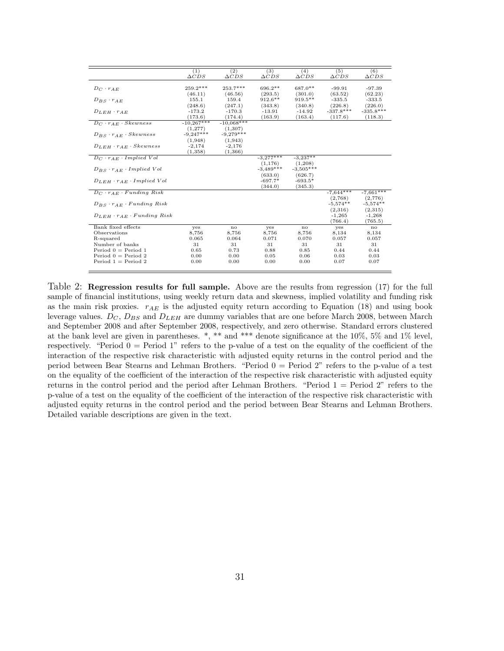|                                           | (1)             | (2)             | (3)             | (4)             | (5)             | (6)             |
|-------------------------------------------|-----------------|-----------------|-----------------|-----------------|-----------------|-----------------|
|                                           | $\triangle CDS$ | $\triangle CDS$ | $\triangle CDS$ | $\triangle CDS$ | $\triangle CDS$ | $\triangle CDS$ |
|                                           | 259.2***        | 253.7***        | 696.2**         | 687.0**         |                 |                 |
| $D_C \cdot r_{AE}$                        |                 |                 |                 |                 | $-99.91$        | $-97.39$        |
|                                           | (46.11)         | (46.56)         | (293.5)         | (301.0)         | (63.52)         | (62.23)         |
| $D_{BS} \cdot r_{AE}$                     | 155.1           | 159.4           | $912.6**$       | $919.5**$       | $-335.5$        | $-333.5$        |
|                                           | (248.6)         | (247.1)         | (343.8)         | (340.8)         | (226.8)         | (226.0)         |
| $D_{LEH} \cdot r_{AE}$                    | $-173.2$        | $-170.3$        | $-13.91$        | $-14.92$        | $-337.8***$     | $-335.8***$     |
|                                           | (173.6)         | (174.4)         | (163.9)         | (163.4)         | (117.6)         | (118.3)         |
| $D_C \cdot r_{AE} \cdot Skewness$         | $-10,267***$    | $-10.068***$    |                 |                 |                 |                 |
|                                           | (1, 277)        | (1,307)         |                 |                 |                 |                 |
| $D_{BS} \cdot r_{AE} \cdot Skewness$      | $-9,247***$     | $-9.279***$     |                 |                 |                 |                 |
|                                           | (1,948)         | (1,943)         |                 |                 |                 |                 |
| $D_{LEH} \cdot r_{AE} \cdot Skewness$     | $-2,174$        | $-2,176$        |                 |                 |                 |                 |
|                                           | (1,358)         | (1,366)         |                 |                 |                 |                 |
| $D_C \cdot r_{AE} \cdot Implied\ Vol$     |                 |                 | $-3,277***$     | $-3,237**$      |                 |                 |
|                                           |                 |                 | (1, 176)        | (1,208)         |                 |                 |
| $D_{BS} \cdot r_{AE} \cdot Implied$ Vol   |                 |                 | $-3,489***$     | $-3,505***$     |                 |                 |
|                                           |                 |                 | (633.0)         | (626.7)         |                 |                 |
|                                           |                 |                 | $-697.7*$       | $-693.5*$       |                 |                 |
| $D_{LEH} \cdot r_{AE} \cdot Implied\ Vol$ |                 |                 |                 |                 |                 |                 |
|                                           |                 |                 | (344.0)         | (345.3)         |                 |                 |
| $D_C \cdot r_{AE} \cdot Fundamental$      |                 |                 |                 |                 | $-7,644***$     | $-7,661***$     |
|                                           |                 |                 |                 |                 | (2,768)         | (2,776)         |
| $D_{BS} \cdot r_{AE} \cdot Fundamental$   |                 |                 |                 |                 | $-5.574**$      | $-5.574**$      |
|                                           |                 |                 |                 |                 | (2,316)         | (2,315)         |
| $D_{LEH} \cdot r_{AE} \cdot Fundamental$  |                 |                 |                 |                 | $-1,265$        | $-1,268$        |
|                                           |                 |                 |                 |                 | (766.4)         | (765.5)         |
| Bank fixed effects                        | yes             | no              | yes             | no              | yes             | no              |
| Observations                              | 8,756           | 8,756           | 8,756           | 8,756           | 8,134           | 8,134           |
| R-squared                                 | 0.065           | 0.064           | 0.071           | 0.070           | 0.057           | 0.057           |
| Number of banks                           | 31              | 31              | 31              | 31              | 31              | 31              |
| Period $0 = Period 1$                     | 0.65            | 0.73            | 0.88            | 0.85            | 0.44            | 0.44            |
| Period $0 =$ Period 2                     | 0.00            | 0.00            | 0.05            | 0.06            | 0.03            | 0.03            |
| Period $1 =$ Period 2                     | 0.00            | 0.00            | 0.00            | 0.00            | 0.07            | 0.07            |
|                                           |                 |                 |                 |                 |                 |                 |
|                                           |                 |                 |                 |                 |                 |                 |

Table 2: Regression results for full sample. Above are the results from regression (17) for the full sample of financial institutions, using weekly return data and skewness, implied volatility and funding risk as the main risk proxies.  $r_{AE}$  is the adjusted equity return according to Equation (18) and using book leverage values.  $D_C$ ,  $D_{BS}$  and  $D_{LEH}$  are dummy variables that are one before March 2008, between March and September 2008 and after September 2008, respectively, and zero otherwise. Standard errors clustered at the bank level are given in parentheses. \*, \*\* and \*\*\* denote significance at the 10%, 5% and 1% level, respectively. "Period  $0 =$  Period 1" refers to the p-value of a test on the equality of the coefficient of the interaction of the respective risk characteristic with adjusted equity returns in the control period and the period between Bear Stearns and Lehman Brothers. "Period 0 = Period 2" refers to the p-value of a test on the equality of the coefficient of the interaction of the respective risk characteristic with adjusted equity returns in the control period and the period after Lehman Brothers. "Period 1 = Period 2" refers to the p-value of a test on the equality of the coefficient of the interaction of the respective risk characteristic with adjusted equity returns in the control period and the period between Bear Stearns and Lehman Brothers. Detailed variable descriptions are given in the text.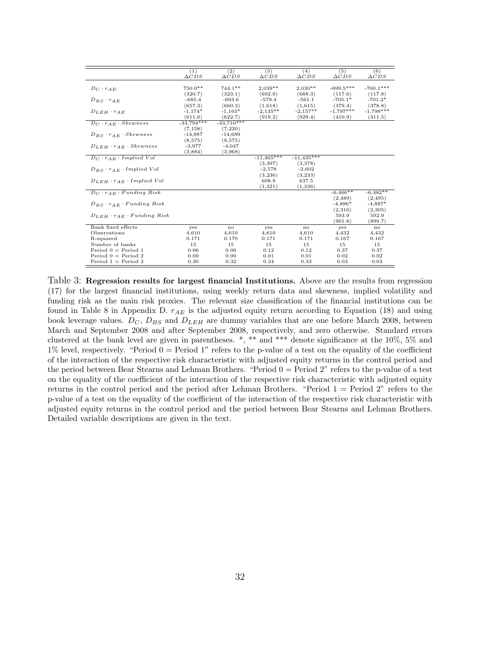|                                          | (1)             | (2)             | (3)             | (4)             | (5)             | (6)             |
|------------------------------------------|-----------------|-----------------|-----------------|-----------------|-----------------|-----------------|
|                                          | $\triangle CDS$ | $\triangle CDS$ | $\triangle CDS$ | $\triangle CDS$ | $\triangle CDS$ | $\triangle CDS$ |
|                                          |                 |                 |                 |                 |                 |                 |
| $D_C \cdot r_{AE}$                       | 750.0**         | $744.1**$       | $2,039**$       | $2,030**$       | $-699.5***$     | $-700.1***$     |
|                                          | (320.7)         | (323.1)         | (692.9)         | (688.3)         | (117.6)         | (117.8)         |
| $D_{BS} \cdot r_{AE}$                    | $-685.4$        | $-693.6$        | $-579.4$        | $-561.1$        | $-705.1*$       | $-701.2*$       |
|                                          | (657.3)         | (660.3)         | (1,618)         | (1,615)         | (379.4)         | (378.8)         |
| $D_{LEH} \cdot r_{AE}$                   | $-1,174*$       | $-1,165*$       | $-2.135**$      | $-2.157**$      | $-1.797***$     | $-1,798***$     |
|                                          | (611.0)         | (622.7)         | (919.2)         | (929.4)         | (410.9)         | (411.5)         |
| $D_C \cdot r_{AE} \cdot Skewness$        | $-33,794***$    | $-33,710***$    |                 |                 |                 |                 |
|                                          | (7, 158)        | (7,220)         |                 |                 |                 |                 |
| $D_{BS} \cdot r_{AE} \cdot Skewness$     | $-14,887$       | $-14,689$       |                 |                 |                 |                 |
|                                          | (8,575)         | (8,575)         |                 |                 |                 |                 |
| $D_{LEH} \cdot r_{AE} \cdot Skewness$    | $-3,977$        | $-4,047$        |                 |                 |                 |                 |
|                                          | (3,884)         | (3,968)         |                 |                 |                 |                 |
| $D_C \cdot r_{AE} \cdot Implied$ Vol     |                 |                 | $-11,465***$    | $-11,435***$    |                 |                 |
|                                          |                 |                 | (3, 397)        | (3,378)         |                 |                 |
| $D_{BS} \cdot r_{AE} \cdot Implied$ Vol  |                 |                 | $-2,578$        | $-2,602$        |                 |                 |
|                                          |                 |                 | (3,236)         | (3,233)         |                 |                 |
| $D_{LEH} \cdot r_{AE} \cdot Implied$ Vol |                 |                 | 608.9           | 637.5           |                 |                 |
|                                          |                 |                 | (1, 321)        | (1, 336)        |                 |                 |
| $D_C \cdot r_{AE} \cdot Funding\ Risk$   |                 |                 |                 |                 | $-6,466**$      | $-6,482**$      |
|                                          |                 |                 |                 |                 | (2,489)         | (2, 495)        |
| $D_{BS} \cdot r_{AE} \cdot Fundamental$  |                 |                 |                 |                 | $-4.886*$       | $-4,887*$       |
|                                          |                 |                 |                 |                 | (2,310)         | (2,305)         |
| $D_{LEH} \cdot r_{AE} \cdot Fundamental$ |                 |                 |                 |                 | 593.9           | 592.9           |
|                                          |                 |                 |                 |                 | (901.8)         | (899.7)         |
| Bank fixed effects                       | yes             | no              | yes             | no              | yes             | no              |
| Observations                             | 4,610           | 4,610           | 4,610           | 4,610           | 4,432           | 4,432           |
| R-squared                                | 0.171           | 0.170           | 0.171           | 0.171           | 0.167           | 0.167           |
| Number of banks                          | 15              | 15              | 15              | 15              | 15              | 15              |
| Period $0 = Period 1$                    | 0.06            | 0.06            | 0.12            | 0.12            | 0.37            | 0.37            |
| Period $0 =$ Period 2                    | 0.00            | 0.00            | 0.01            | 0.01            | 0.02            | 0.02            |
| Period $1 =$ Period 2                    | 0.30            | 0.32            | 0.34            | 0.33            | 0.03            | 0.03            |
|                                          |                 |                 |                 |                 |                 |                 |

Table 3: Regression results for largest financial Institutions. Above are the results from regression (17) for the largest financial institutions, using weekly return data and skewness, implied volatility and funding risk as the main risk proxies. The relevant size classification of the financial institutions can be found in Table 8 in Appendix D.  $r_{AE}$  is the adjusted equity return according to Equation (18) and using book leverage values.  $D_C$ ,  $D_{BS}$  and  $D_{LEH}$  are dummy variables that are one before March 2008, between March and September 2008 and after September 2008, respectively, and zero otherwise. Standard errors clustered at the bank level are given in parentheses. \*, \*\* and \*\*\* denote significance at the 10%, 5% and 1% level, respectively. "Period  $0 =$  Period 1" refers to the p-value of a test on the equality of the coefficient of the interaction of the respective risk characteristic with adjusted equity returns in the control period and the period between Bear Stearns and Lehman Brothers. "Period 0 = Period 2" refers to the p-value of a test on the equality of the coefficient of the interaction of the respective risk characteristic with adjusted equity returns in the control period and the period after Lehman Brothers. "Period 1 = Period 2" refers to the p-value of a test on the equality of the coefficient of the interaction of the respective risk characteristic with adjusted equity returns in the control period and the period between Bear Stearns and Lehman Brothers. Detailed variable descriptions are given in the text.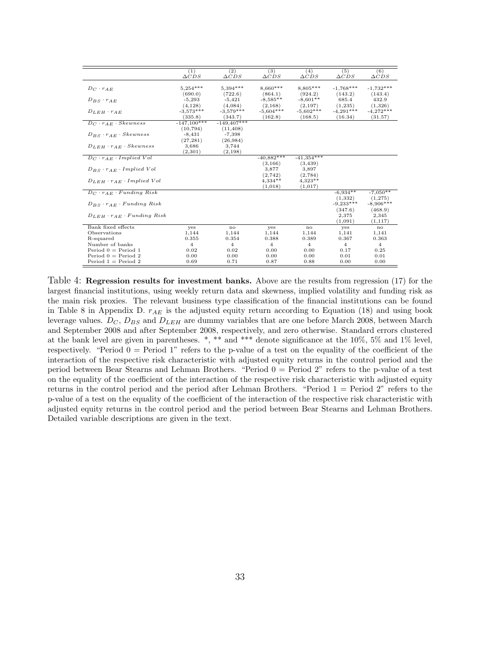|                                                 | (1)<br>$\triangle CDS$ | (2)<br>$\triangle CDS$ | (3)<br>$\triangle CDS$ | (4)<br>$\triangle CDS$ | (5)<br>$\triangle CDS$ | (6)<br>$\triangle CDS$ |
|-------------------------------------------------|------------------------|------------------------|------------------------|------------------------|------------------------|------------------------|
| $D_C \cdot r_{AE}$                              | $5,254***$             | $5,394***$             | $8,660***$             | 8,805***               | $-1.768***$            | $-1,732***$            |
|                                                 | (690.0)                | (722.6)                | (864.1)                | (924.2)                | (143.2)                | (143.4)                |
| $D_{BS} \cdot r_{AE}$                           | $-5,293$               | $-5,421$               | $-8,585**$             | $-8,601**$             | 685.4                  | 432.9                  |
|                                                 | (4, 128)               | (4.084)                | (2,168)                | (2, 197)               | (1,235)                | (1,326)                |
| $D_{LEH} \cdot r_{AE}$                          | $-3.573***$            | $-3.579***$            | $-5,604***$            | $-5,602***$            | $-4,291***$            | $-4,272***$            |
|                                                 | (335.8)                | (343.7)                | (162.8)                | (168.5)                | (16.34)                | (31.57)                |
| $D_C \cdot \overline{r_{AE} \cdot Skewness}$    | $-147,100***$          | $-149,407***$          |                        |                        |                        |                        |
|                                                 | (10, 794)              | (11, 408)              |                        |                        |                        |                        |
| $D_{BS} \cdot r_{AE} \cdot Skewness$            | $-8,431$               | $-7,398$               |                        |                        |                        |                        |
|                                                 | (27, 281)              | (26, 984)              |                        |                        |                        |                        |
| $D_{LEH} \cdot r_{AE} \cdot Skewness$           | 3,686                  | 3,744                  |                        |                        |                        |                        |
|                                                 | (2,301)                | (2, 198)               |                        |                        |                        |                        |
| $D_C \cdot r_{AE} \cdot Implied$ Vol            |                        |                        | $-40,882***$           | $-41,354***$           |                        |                        |
|                                                 |                        |                        | (3, 166)               | (3, 439)               |                        |                        |
| $D_{BS} \cdot r_{AE} \cdot Implied$ Vol         |                        |                        | 3,877                  | 3,897                  |                        |                        |
|                                                 |                        |                        | (2,742)                | (2,784)                |                        |                        |
| $D_{LEH} \cdot r_{AE} \cdot Implied$ Vol        |                        |                        | $4,334**$              | $4.323**$              |                        |                        |
|                                                 |                        |                        | (1,018)                | (1,017)                |                        |                        |
| $D_C \cdot r_{AE} \cdot Funding\ Risk$          |                        |                        |                        |                        | $-6,934**$             | $-7,050**$             |
|                                                 |                        |                        |                        |                        | (1,332)                | (1,275)                |
| $D_{BS} \cdot r_{AE} \cdot Fundamental$         |                        |                        |                        |                        | $-9,233***$            | $-8,906***$            |
|                                                 |                        |                        |                        |                        | (347.6)                | (468.9)                |
| $D_{LEH}$ $\cdot$ $r_{AE}$ $\cdot$ Funding Risk |                        |                        |                        |                        | 2,375                  | 2,345                  |
|                                                 |                        |                        |                        |                        | (1,091)                | (1, 117)               |
| Bank fixed effects                              | yes                    | no                     | yes                    | no                     | yes                    | no                     |
| Observations                                    | 1,144                  | 1,144                  | 1,144                  | 1,144                  | 1,141                  | 1,141                  |
| R-squared                                       | 0.355                  | 0.354                  | 0.388                  | 0.389                  | 0.367                  | 0.363                  |
| Number of banks                                 | $\overline{4}$         | 4                      | $\overline{4}$         | $\overline{4}$         | 4                      | $\overline{4}$         |
| Period $0 = Period 1$                           | 0.02                   | 0.02                   | 0.00                   | 0.00                   | 0.17                   | 0.25                   |
| Period $0 =$ Period 2                           | 0.00                   | 0.00                   | 0.00                   | 0.00                   | 0.01                   | 0.01                   |
| Period $1 =$ Period 2                           | 0.69                   | 0.71                   | 0.87                   | 0.88                   | 0.00                   | 0.00                   |

Table 4: Regression results for investment banks. Above are the results from regression (17) for the largest financial institutions, using weekly return data and skewness, implied volatility and funding risk as the main risk proxies. The relevant business type classification of the financial institutions can be found in Table 8 in Appendix D.  $r_{AE}$  is the adjusted equity return according to Equation (18) and using book leverage values.  $D_C$ ,  $D_{BS}$  and  $D_{LEH}$  are dummy variables that are one before March 2008, between March and September 2008 and after September 2008, respectively, and zero otherwise. Standard errors clustered at the bank level are given in parentheses. \*, \*\* and \*\*\* denote significance at the 10%, 5% and 1% level, respectively. "Period  $0 =$  Period 1" refers to the p-value of a test on the equality of the coefficient of the interaction of the respective risk characteristic with adjusted equity returns in the control period and the period between Bear Stearns and Lehman Brothers. "Period 0 = Period 2" refers to the p-value of a test on the equality of the coefficient of the interaction of the respective risk characteristic with adjusted equity returns in the control period and the period after Lehman Brothers. "Period 1 = Period 2" refers to the p-value of a test on the equality of the coefficient of the interaction of the respective risk characteristic with adjusted equity returns in the control period and the period between Bear Stearns and Lehman Brothers. Detailed variable descriptions are given in the text.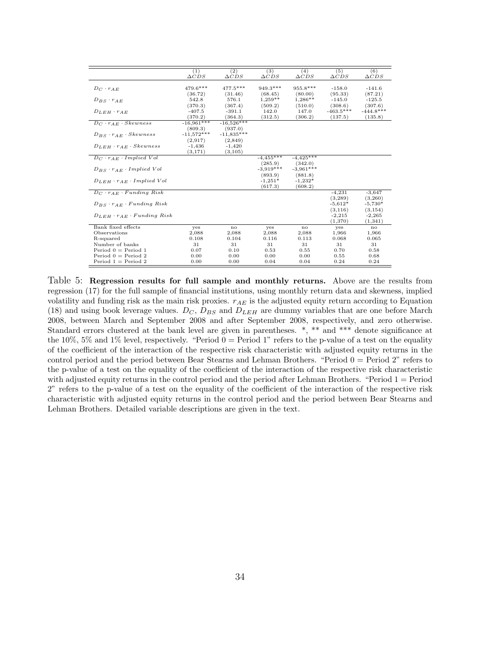| (2)<br>(1)<br>(3)<br>(4)<br>$\triangle CDS$<br>$\triangle CDS$<br>$\triangle CDS$<br>$\triangle CDS$<br>$\triangle CDS$<br>$\triangle CDS$<br>$477.5***$<br>479.6***<br>949.3***<br>955.8***<br>$-158.0$<br>$-141.6$<br>$D_C \cdot r_{AE}$<br>(95.33)<br>(87.21)<br>(36.72)<br>(31.46)<br>(68.45)<br>(80.00)<br>542.8<br>576.1<br>$1,259**$<br>$1,286**$<br>$-145.0$<br>$-125.5$<br>$D_{BS} \cdot r_{AE}$<br>(370.3)<br>(367.4)<br>(509.2)<br>(510.0)<br>(308.6)<br>(307.6)<br>$-463.5***$<br>$-444.8***$<br>$-407.5$<br>$-391.1$<br>142.0<br>147.0<br>$D_{LEH} \cdot r_{AE}$<br>(370.2)<br>(364.3)<br>(312.5)<br>(306.2)<br>(137.5)<br>(135.8)<br>$D_C \cdot r_{AE} \cdot Skewness$<br>$-16,961***$<br>$-16,526***$<br>(809.3)<br>(937.0)<br>$-11,572***$<br>$-11,835***$<br>$D_{BS} \cdot r_{AE} \cdot Skewness$<br>(2,917)<br>(2,849) |                                       |          |          |  | (5) | (6) |
|------------------------------------------------------------------------------------------------------------------------------------------------------------------------------------------------------------------------------------------------------------------------------------------------------------------------------------------------------------------------------------------------------------------------------------------------------------------------------------------------------------------------------------------------------------------------------------------------------------------------------------------------------------------------------------------------------------------------------------------------------------------------------------------------------------------------------------------|---------------------------------------|----------|----------|--|-----|-----|
|                                                                                                                                                                                                                                                                                                                                                                                                                                                                                                                                                                                                                                                                                                                                                                                                                                          |                                       |          |          |  |     |     |
|                                                                                                                                                                                                                                                                                                                                                                                                                                                                                                                                                                                                                                                                                                                                                                                                                                          |                                       |          |          |  |     |     |
|                                                                                                                                                                                                                                                                                                                                                                                                                                                                                                                                                                                                                                                                                                                                                                                                                                          |                                       |          |          |  |     |     |
|                                                                                                                                                                                                                                                                                                                                                                                                                                                                                                                                                                                                                                                                                                                                                                                                                                          |                                       |          |          |  |     |     |
|                                                                                                                                                                                                                                                                                                                                                                                                                                                                                                                                                                                                                                                                                                                                                                                                                                          |                                       |          |          |  |     |     |
|                                                                                                                                                                                                                                                                                                                                                                                                                                                                                                                                                                                                                                                                                                                                                                                                                                          |                                       |          |          |  |     |     |
|                                                                                                                                                                                                                                                                                                                                                                                                                                                                                                                                                                                                                                                                                                                                                                                                                                          |                                       |          |          |  |     |     |
|                                                                                                                                                                                                                                                                                                                                                                                                                                                                                                                                                                                                                                                                                                                                                                                                                                          |                                       |          |          |  |     |     |
|                                                                                                                                                                                                                                                                                                                                                                                                                                                                                                                                                                                                                                                                                                                                                                                                                                          |                                       |          |          |  |     |     |
|                                                                                                                                                                                                                                                                                                                                                                                                                                                                                                                                                                                                                                                                                                                                                                                                                                          |                                       |          |          |  |     |     |
|                                                                                                                                                                                                                                                                                                                                                                                                                                                                                                                                                                                                                                                                                                                                                                                                                                          |                                       |          |          |  |     |     |
|                                                                                                                                                                                                                                                                                                                                                                                                                                                                                                                                                                                                                                                                                                                                                                                                                                          |                                       |          |          |  |     |     |
|                                                                                                                                                                                                                                                                                                                                                                                                                                                                                                                                                                                                                                                                                                                                                                                                                                          | $D_{LEH} \cdot r_{AE} \cdot Skewness$ | $-1,436$ | $-1,420$ |  |     |     |
| (3, 171)<br>(3, 105)                                                                                                                                                                                                                                                                                                                                                                                                                                                                                                                                                                                                                                                                                                                                                                                                                     |                                       |          |          |  |     |     |
| $-4,455***$<br>$-4.425***$<br>$D_C \cdot r_{AE} \cdot Implied$ Vol                                                                                                                                                                                                                                                                                                                                                                                                                                                                                                                                                                                                                                                                                                                                                                       |                                       |          |          |  |     |     |
| (285.9)<br>(342.0)                                                                                                                                                                                                                                                                                                                                                                                                                                                                                                                                                                                                                                                                                                                                                                                                                       |                                       |          |          |  |     |     |
| $-3.919***$<br>$-3.961***$<br>$D_{BS} \cdot r_{AE} \cdot Implied$ Vol                                                                                                                                                                                                                                                                                                                                                                                                                                                                                                                                                                                                                                                                                                                                                                    |                                       |          |          |  |     |     |
| (893.9)<br>(881.8)                                                                                                                                                                                                                                                                                                                                                                                                                                                                                                                                                                                                                                                                                                                                                                                                                       |                                       |          |          |  |     |     |
| $-1,232*$<br>$-1,251*$<br>$D_{LEH} \cdot r_{AE} \cdot Implied$ Vol                                                                                                                                                                                                                                                                                                                                                                                                                                                                                                                                                                                                                                                                                                                                                                       |                                       |          |          |  |     |     |
| (617.3)<br>(608.2)                                                                                                                                                                                                                                                                                                                                                                                                                                                                                                                                                                                                                                                                                                                                                                                                                       |                                       |          |          |  |     |     |
| $D_C \cdot r_{AE} \cdot Funding\ Risk$<br>$-4,231$<br>$-3,647$                                                                                                                                                                                                                                                                                                                                                                                                                                                                                                                                                                                                                                                                                                                                                                           |                                       |          |          |  |     |     |
| (3,289)<br>(3,260)                                                                                                                                                                                                                                                                                                                                                                                                                                                                                                                                                                                                                                                                                                                                                                                                                       |                                       |          |          |  |     |     |
| $-5.612*$<br>$D_{BS} \cdot r_{AE} \cdot Fundamental$<br>$-5,730*$                                                                                                                                                                                                                                                                                                                                                                                                                                                                                                                                                                                                                                                                                                                                                                        |                                       |          |          |  |     |     |
| (3, 116)<br>(3, 154)                                                                                                                                                                                                                                                                                                                                                                                                                                                                                                                                                                                                                                                                                                                                                                                                                     |                                       |          |          |  |     |     |
| $D_{LEH} \cdot r_{AE} \cdot Fundamental$<br>$-2,215$<br>$-2,265$                                                                                                                                                                                                                                                                                                                                                                                                                                                                                                                                                                                                                                                                                                                                                                         |                                       |          |          |  |     |     |
| (1,370)<br>(1,341)                                                                                                                                                                                                                                                                                                                                                                                                                                                                                                                                                                                                                                                                                                                                                                                                                       |                                       |          |          |  |     |     |
| Bank fixed effects<br>yes<br>no<br>yes<br>no<br>yes<br>no                                                                                                                                                                                                                                                                                                                                                                                                                                                                                                                                                                                                                                                                                                                                                                                |                                       |          |          |  |     |     |
| Observations<br>2,088<br>2,088<br>2,088<br>2,088<br>1,966<br>1,966                                                                                                                                                                                                                                                                                                                                                                                                                                                                                                                                                                                                                                                                                                                                                                       |                                       |          |          |  |     |     |
| R-squared<br>0.108<br>0.104<br>0.116<br>0.113<br>0.068<br>0.065                                                                                                                                                                                                                                                                                                                                                                                                                                                                                                                                                                                                                                                                                                                                                                          |                                       |          |          |  |     |     |
| 31<br>31<br>Number of banks<br>31<br>31<br>31<br>31                                                                                                                                                                                                                                                                                                                                                                                                                                                                                                                                                                                                                                                                                                                                                                                      |                                       |          |          |  |     |     |
| Period $0 = Period 1$<br>0.07<br>0.10<br>0.53<br>0.55<br>0.70<br>0.58                                                                                                                                                                                                                                                                                                                                                                                                                                                                                                                                                                                                                                                                                                                                                                    |                                       |          |          |  |     |     |
| Period $0 =$ Period 2<br>0.00<br>0.00<br>0.00<br>0.00<br>0.55<br>0.68                                                                                                                                                                                                                                                                                                                                                                                                                                                                                                                                                                                                                                                                                                                                                                    |                                       |          |          |  |     |     |
| Period $1 =$ Period 2<br>0.00<br>0.00<br>0.04<br>0.24<br>0.24<br>0.04                                                                                                                                                                                                                                                                                                                                                                                                                                                                                                                                                                                                                                                                                                                                                                    |                                       |          |          |  |     |     |

Table 5: Regression results for full sample and monthly returns. Above are the results from regression (17) for the full sample of financial institutions, using monthly return data and skewness, implied volatility and funding risk as the main risk proxies.  $r_{AE}$  is the adjusted equity return according to Equation (18) and using book leverage values.  $D_C$ ,  $D_{BS}$  and  $D_{LEH}$  are dummy variables that are one before March 2008, between March and September 2008 and after September 2008, respectively, and zero otherwise. Standard errors clustered at the bank level are given in parentheses. \*, \*\* and \*\*\* denote significance at the 10%, 5% and 1% level, respectively. "Period  $0 =$  Period 1" refers to the p-value of a test on the equality of the coefficient of the interaction of the respective risk characteristic with adjusted equity returns in the control period and the period between Bear Stearns and Lehman Brothers. "Period 0 = Period 2" refers to the p-value of a test on the equality of the coefficient of the interaction of the respective risk characteristic with adjusted equity returns in the control period and the period after Lehman Brothers. "Period 1 = Period 2" refers to the p-value of a test on the equality of the coefficient of the interaction of the respective risk characteristic with adjusted equity returns in the control period and the period between Bear Stearns and Lehman Brothers. Detailed variable descriptions are given in the text.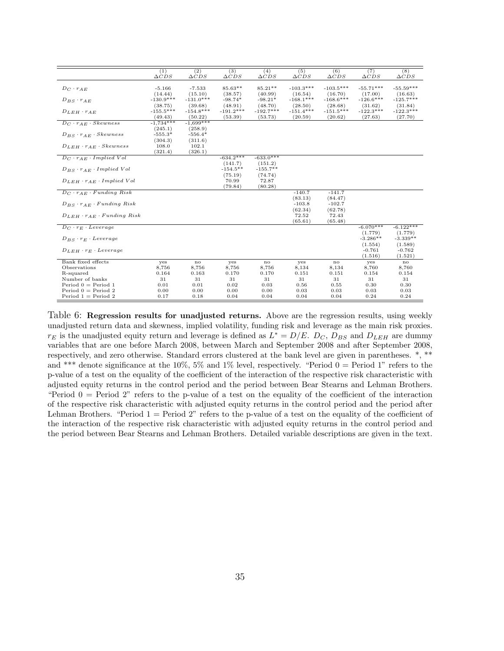|                                              | (1)             | (2)             | (3)             | (4)             | (5)             | (6)             | (7)             | (8)             |
|----------------------------------------------|-----------------|-----------------|-----------------|-----------------|-----------------|-----------------|-----------------|-----------------|
|                                              | $\triangle CDS$ | $\triangle CDS$ | $\triangle CDS$ | $\triangle CDS$ | $\triangle CDS$ | $\triangle CDS$ | $\triangle CDS$ | $\triangle CDS$ |
|                                              |                 |                 |                 |                 |                 |                 |                 |                 |
| $D_C \cdot r_{AE}$                           | $-5.166$        | $-7.533$        | 85.63**         | $85.21**$       | $-103.3***$     | $-103.5***$     | $-55.71***$     | $-55.59***$     |
|                                              | (14.44)         | (15.10)         | (38.57)         | (40.99)         | (16.54)         | (16.70)         | (17.00)         | (16.63)         |
| $D_{BS} \cdot r_{AE}$                        | $-130.9***$     | $-131.0***$     | $-98.74*$       | $-98.21*$       | $-168.1***$     | $-168.6***$     | $-126.6***$     | $-125.7***$     |
|                                              | (38.75)         | (39.68)         | (48.91)         | (48.70)         | (28.50)         | (28.68)         | (31.62)         | (31.84)         |
| $D_{LEH} \cdot r_{AE}$                       | $-155.5***$     | $-154.8***$     | $-191.2***$     | $-192.7***$     | $-151.4***$     | $-151.5***$     | $-122.3***$     | $-122.3***$     |
|                                              | (49.43)         | (50.22)         | (53.39)         | (53.73)         | (20.59)         | (20.62)         | (27.63)         | (27.70)         |
| $D_C \cdot \overline{r_{AE} \cdot Skewness}$ | $-1,734***$     | $-1.699***$     |                 |                 |                 |                 |                 |                 |
|                                              | (245.1)         | (258.9)         |                 |                 |                 |                 |                 |                 |
| $D_{BS} \cdot r_{AE} \cdot Skewness$         | $-555.3*$       | $-556.4*$       |                 |                 |                 |                 |                 |                 |
|                                              | (304.3)         | (311.6)         |                 |                 |                 |                 |                 |                 |
| $D_{LEH} \cdot r_{AE} \cdot Skewness$        | 108.0           | 102.1           |                 |                 |                 |                 |                 |                 |
|                                              | (321.4)         | (326.1)         |                 |                 |                 |                 |                 |                 |
| $D_C \cdot r_{AE} \cdot Implied$ Vol         |                 |                 | $-634.2***$     | $-633.0***$     |                 |                 |                 |                 |
|                                              |                 |                 | (141.7)         | (151.2)         |                 |                 |                 |                 |
| $D_{BS} \cdot r_{AE} \cdot Implied$ Vol      |                 |                 | $-154.5**$      | $-155.7**$      |                 |                 |                 |                 |
|                                              |                 |                 | (75.19)         | (74.74)         |                 |                 |                 |                 |
| $D_{LEH} \cdot r_{AE} \cdot Implied\ Vol$    |                 |                 | 70.99           | 72.87           |                 |                 |                 |                 |
|                                              |                 |                 | (79.84)         | (80.28)         |                 |                 |                 |                 |
| $D_C \cdot r_{AE} \cdot Funding\ Risk$       |                 |                 |                 |                 | $-140.7$        | $-141.7$        |                 |                 |
|                                              |                 |                 |                 |                 | (83.13)         | (84.47)         |                 |                 |
| $D_{BS} \cdot r_{AE} \cdot Funding\ Risk$    |                 |                 |                 |                 | $-103.8$        | $-102.7$        |                 |                 |
|                                              |                 |                 |                 |                 | (62.34)         | (62.78)         |                 |                 |
| $D_{LEH} \cdot r_{AE} \cdot Funding Risk$    |                 |                 |                 |                 | 72.52           | 72.43           |                 |                 |
|                                              |                 |                 |                 |                 | (65.61)         | (65.48)         |                 |                 |
| $D_C \cdot r_E \cdot \textit{Leverage}$      |                 |                 |                 |                 |                 |                 | $-6.070***$     | $-6.122***$     |
|                                              |                 |                 |                 |                 |                 |                 | (1.779)         | (1.779)         |
| $D_{BS} \cdot r_E \cdot Leverage$            |                 |                 |                 |                 |                 |                 | $-3.286**$      | $-3.339**$      |
|                                              |                 |                 |                 |                 |                 |                 | (1.554)         | (1.589)         |
| $D_{LEH} \cdot r_E \cdot \textit{Leverage}$  |                 |                 |                 |                 |                 |                 | $-0.761$        | $-0.762$        |
|                                              |                 |                 |                 |                 |                 |                 | (1.516)         | (1.521)         |
| Bank fixed effects                           | yes             | $\mathbf{no}$   | yes             | $\mathbf{no}$   | yes             | $\mathbf{no}$   | yes             | no              |
| Observations                                 | 8,756           | 8,756           | 8,756           | 8,756           | 8,134           | 8,134           | 8,760           | 8,760           |
| R-squared                                    | 0.164           | 0.163           | 0.170           | 0.170           | 0.151           | 0.151           | 0.154           | 0.154           |
| Number of banks                              | 31              | 31              | 31              | 31              | 31              | 31              | 31              | 31              |
| Period $0 = Period 1$                        | 0.01            | 0.01            | 0.02            | 0.03            | 0.56            | 0.55            | 0.30            | 0.30            |
| Period $0 =$ Period 2                        | 0.00            | 0.00            | 0.00            | 0.00            | 0.03            | 0.03            | 0.03            | 0.03            |
| Period $1 =$ Period 2                        | 0.17            | 0.18            | 0.04            | 0.04            | 0.04            | 0.04            | 0.24            | 0.24            |

Table 6: Regression results for unadjusted returns. Above are the regression results, using weekly unadjusted return data and skewness, implied volatility, funding risk and leverage as the main risk proxies.  $r_E$  is the unadjusted equity return and leverage is defined as  $L^* = D/E$ .  $D_C$ ,  $D_{BS}$  and  $D_{LEH}$  are dummy variables that are one before March 2008, between March and September 2008 and after September 2008, respectively, and zero otherwise. Standard errors clustered at the bank level are given in parentheses. \*, \*\* and \*\*\* denote significance at the 10%, 5% and 1% level, respectively. "Period  $0 =$  Period 1" refers to the p-value of a test on the equality of the coefficient of the interaction of the respective risk characteristic with adjusted equity returns in the control period and the period between Bear Stearns and Lehman Brothers. "Period 0 = Period 2" refers to the p-value of a test on the equality of the coefficient of the interaction of the respective risk characteristic with adjusted equity returns in the control period and the period after Lehman Brothers. "Period  $1 =$  Period 2" refers to the p-value of a test on the equality of the coefficient of the interaction of the respective risk characteristic with adjusted equity returns in the control period and the period between Bear Stearns and Lehman Brothers. Detailed variable descriptions are given in the text.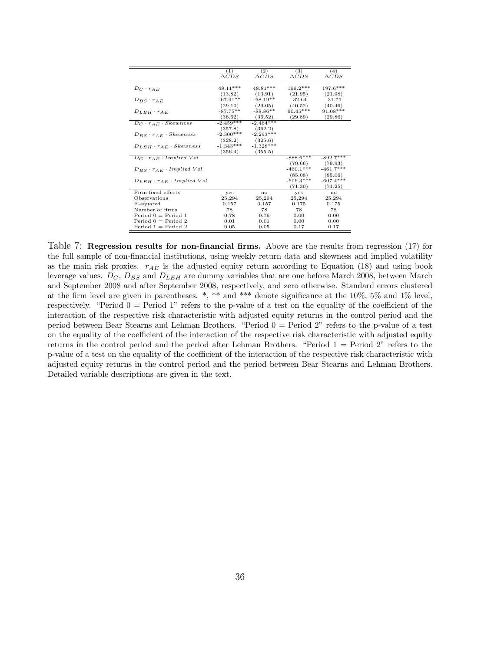|                                           | (1)<br>$\triangle CDS$ | (2)<br>$\triangle CDS$ | (3)<br>$\triangle CDS$ | (4)<br>$\triangle CDS$ |
|-------------------------------------------|------------------------|------------------------|------------------------|------------------------|
|                                           |                        |                        |                        |                        |
| $D_C \cdot r_{AE}$                        | 48.11***               | 48.81***               | $196.2***$             | 197.6***               |
|                                           | (13.82)                | (13.91)                | (21.95)                | (21.98)                |
| $D_{BS} \cdot r_{AE}$                     | $-67.91**$             | $-68.19**$             | $-32.64$               | $-31.75$               |
|                                           | (29.10)                | (29.05)                | (40.52)                | (40.46)                |
| $D_{LEH} \cdot r_{AE}$                    | $-87.75**$             | $-88.86**$             | $90.45***$             | $91.08***$             |
|                                           | (36.62)                | (36.52)                | (29.89)                | (29.86)                |
| $D_C \cdot r_{AE} \cdot Skewness$         | $-2,459***$            | $-2.464***$            |                        |                        |
|                                           | (357.8)                | (362.2)                |                        |                        |
| $D_{BS} \cdot r_{AE} \cdot Skewness$      | $-2,300***$            | $-2,293***$            |                        |                        |
|                                           | (328.2)                | (325.6)                |                        |                        |
| $D_{LEH} \cdot r_{AE} \cdot Skewness$     | $-1,343***$            | $-1,328***$            |                        |                        |
|                                           | (356.4)                | (355.5)                |                        |                        |
| $D_C \cdot r_{AE} \cdot Implied$ Vol      |                        |                        | $-888.6***$            | $-892.7***$            |
|                                           |                        |                        | (79.66)                | (79.93)                |
| $D_{BS} \cdot r_{AE} \cdot Implied$ Vol   |                        |                        | $-460.1***$            | $-461.7***$            |
|                                           |                        |                        | (85.08)                | (85.06)                |
| $D_{LEH} \cdot r_{AE} \cdot Implied\ Vol$ |                        |                        | $-606.3***$            | $-607.4***$            |
|                                           |                        |                        | (71.30)                | (71.25)                |
| Firm fixed effects                        | yes                    | no                     | yes                    | no                     |
| Observations                              | 25,294                 | 25,294                 | 25,294                 | 25,294                 |
| R-squared                                 | 0.157                  | 0.157                  | 0.175                  | 0.175                  |
| Number of firms                           | 78                     | 78                     | 78                     | 78                     |
| Period $0 =$ Period 1                     | 0.78                   | 0.76                   | 0.00                   | 0.00                   |
| Period $0 =$ Period 2                     | 0.01                   | 0.01                   | 0.00                   | 0.00                   |
| Period $1 =$ Period 2                     | 0.05                   | 0.05                   | 0.17                   | 0.17                   |
|                                           |                        |                        |                        |                        |

Table 7: Regression results for non-financial firms. Above are the results from regression (17) for the full sample of non-financial institutions, using weekly return data and skewness and implied volatility as the main risk proxies.  $r_{AE}$  is the adjusted equity return according to Equation (18) and using book leverage values.  $D_C$ ,  $D_{BS}$  and  $D_{LEH}$  are dummy variables that are one before March 2008, between March and September 2008 and after September 2008, respectively, and zero otherwise. Standard errors clustered at the firm level are given in parentheses.  $*$ ,  $**$  and  $***$  denote significance at the 10%, 5% and 1% level, respectively. "Period  $0 =$  Period 1" refers to the p-value of a test on the equality of the coefficient of the interaction of the respective risk characteristic with adjusted equity returns in the control period and the period between Bear Stearns and Lehman Brothers. "Period 0 = Period 2" refers to the p-value of a test on the equality of the coefficient of the interaction of the respective risk characteristic with adjusted equity returns in the control period and the period after Lehman Brothers. "Period 1 = Period 2" refers to the p-value of a test on the equality of the coefficient of the interaction of the respective risk characteristic with adjusted equity returns in the control period and the period between Bear Stearns and Lehman Brothers. Detailed variable descriptions are given in the text.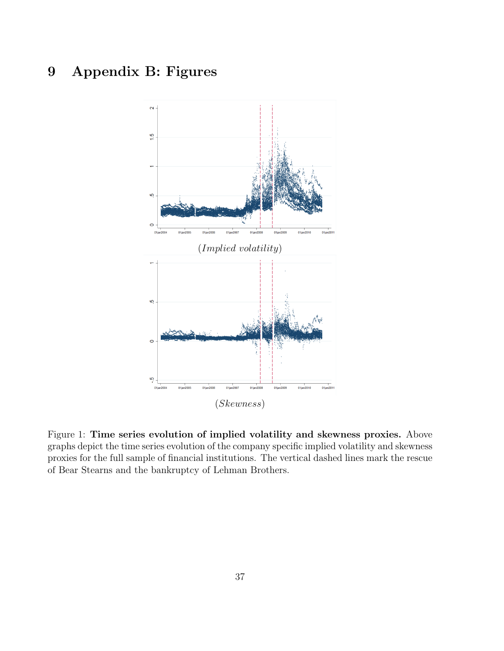## 9 Appendix B: Figures



Figure 1: Time series evolution of implied volatility and skewness proxies. Above graphs depict the time series evolution of the company specific implied volatility and skewness proxies for the full sample of financial institutions. The vertical dashed lines mark the rescue of Bear Stearns and the bankruptcy of Lehman Brothers.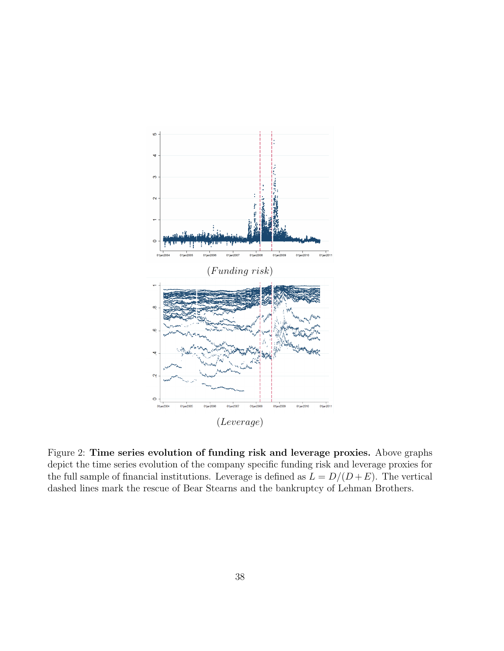

Figure 2: Time series evolution of funding risk and leverage proxies. Above graphs depict the time series evolution of the company specific funding risk and leverage proxies for the full sample of financial institutions. Leverage is defined as  $L = D/(D + E)$ . The vertical dashed lines mark the rescue of Bear Stearns and the bankruptcy of Lehman Brothers.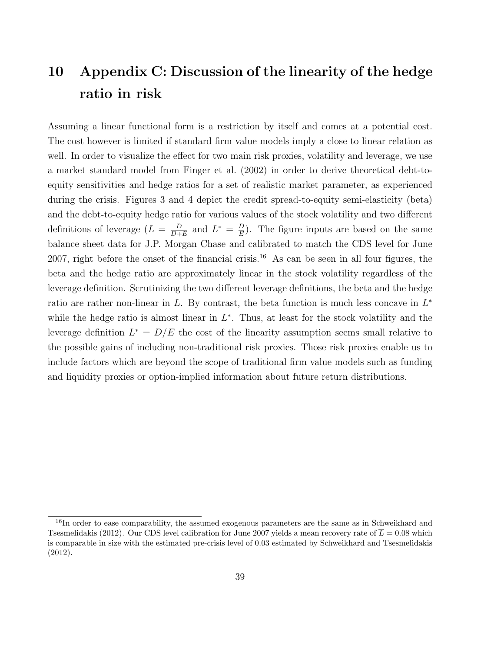## 10 Appendix C: Discussion of the linearity of the hedge ratio in risk

Assuming a linear functional form is a restriction by itself and comes at a potential cost. The cost however is limited if standard firm value models imply a close to linear relation as well. In order to visualize the effect for two main risk proxies, volatility and leverage, we use a market standard model from Finger et al. (2002) in order to derive theoretical debt-toequity sensitivities and hedge ratios for a set of realistic market parameter, as experienced during the crisis. Figures 3 and 4 depict the credit spread-to-equity semi-elasticity (beta) and the debt-to-equity hedge ratio for various values of the stock volatility and two different definitions of leverage  $(L = \frac{D}{D+1})$  $\frac{D}{D+E}$  and  $L^* = \frac{D}{E}$  $\frac{D}{E}$ ). The figure inputs are based on the same balance sheet data for J.P. Morgan Chase and calibrated to match the CDS level for June 2007, right before the onset of the financial crisis.<sup>16</sup> As can be seen in all four figures, the beta and the hedge ratio are approximately linear in the stock volatility regardless of the leverage definition. Scrutinizing the two different leverage definitions, the beta and the hedge ratio are rather non-linear in L. By contrast, the beta function is much less concave in  $L^*$ while the hedge ratio is almost linear in  $L^*$ . Thus, at least for the stock volatility and the leverage definition  $L^* = D/E$  the cost of the linearity assumption seems small relative to the possible gains of including non-traditional risk proxies. Those risk proxies enable us to include factors which are beyond the scope of traditional firm value models such as funding and liquidity proxies or option-implied information about future return distributions.

<sup>&</sup>lt;sup>16</sup>In order to ease comparability, the assumed exogenous parameters are the same as in Schweikhard and Tsesmelidakis (2012). Our CDS level calibration for June 2007 yields a mean recovery rate of  $\overline{L} = 0.08$  which is comparable in size with the estimated pre-crisis level of 0.03 estimated by Schweikhard and Tsesmelidakis (2012).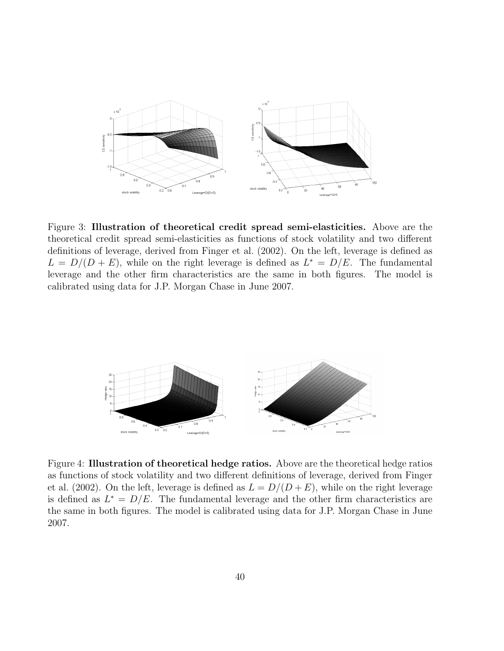

Figure 3: Illustration of theoretical credit spread semi-elasticities. Above are the theoretical credit spread semi-elasticities as functions of stock volatility and two different definitions of leverage, derived from Finger et al. (2002). On the left, leverage is defined as  $L = D/(D + E)$ , while on the right leverage is defined as  $L^* = D/E$ . The fundamental leverage and the other firm characteristics are the same in both figures. The model is calibrated using data for J.P. Morgan Chase in June 2007.



Figure 4: Illustration of theoretical hedge ratios. Above are the theoretical hedge ratios as functions of stock volatility and two different definitions of leverage, derived from Finger et al. (2002). On the left, leverage is defined as  $L = D/(D + E)$ , while on the right leverage is defined as  $L^* = D/E$ . The fundamental leverage and the other firm characteristics are the same in both figures. The model is calibrated using data for J.P. Morgan Chase in June 2007.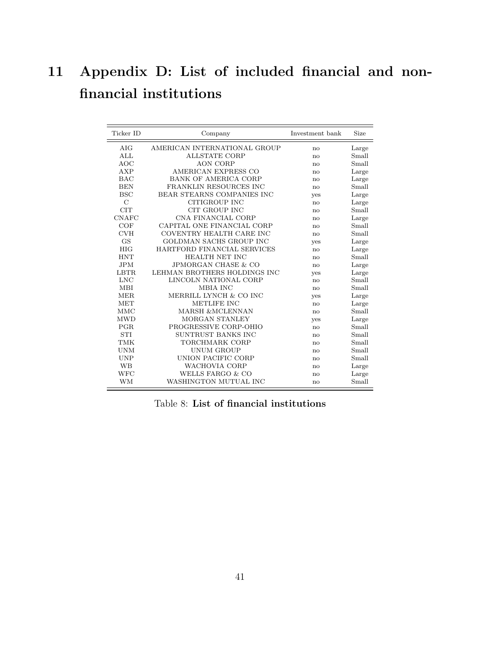# 11 Appendix D: List of included financial and nonfinancial institutions

| Ticker ID     | Company                        | Investment bank | Size  |
|---------------|--------------------------------|-----------------|-------|
| AIG           | AMERICAN INTERNATIONAL GROUP   | no              | Large |
| ALL           | <b>ALLSTATE CORP</b>           | no              | Small |
| <b>AOC</b>    | <b>AON CORP</b>                | $\mathbf{n}$    | Small |
| AXP           | AMERICAN EXPRESS CO            | no              | Large |
| <b>BAC</b>    | <b>BANK OF AMERICA CORP</b>    | no              | Large |
| <b>BEN</b>    | FRANKLIN RESOURCES INC         | $\mathbf{no}$   | Small |
| <b>BSC</b>    | BEAR STEARNS COMPANIES INC     | yes             | Large |
| $\mathcal{C}$ | CITIGROUP INC                  | no              | Large |
| <b>CIT</b>    | <b>CIT GROUP INC</b>           | no              | Small |
| <b>CNAFC</b>  | CNA FINANCIAL CORP             | no              | Large |
| COF           | CAPITAL ONE FINANCIAL CORP     | no              | Small |
| <b>CVH</b>    | COVENTRY HEALTH CARE INC       | no              | Small |
| <b>GS</b>     | <b>GOLDMAN SACHS GROUP INC</b> | yes             | Large |
| <b>HIG</b>    | HARTFORD FINANCIAL SERVICES    | no              | Large |
| <b>HNT</b>    | HEALTH NET INC                 | no              | Small |
| <b>JPM</b>    | <b>JPMORGAN CHASE &amp; CO</b> | no              | Large |
| LBTR.         | LEHMAN BROTHERS HOLDINGS INC   | yes             | Large |
| LNC           | LINCOLN NATIONAL CORP          | no              | Small |
| <b>MBI</b>    | MBIA INC                       | no              | Small |
| MER.          | MERRILL LYNCH & CO INC         | <b>ves</b>      | Large |
| <b>MET</b>    | METLIFE INC                    | no              | Large |
| <b>MMC</b>    | MARSH &MCLENNAN                | no              | Small |
| <b>MWD</b>    | MORGAN STANLEY                 | yes             | Large |
| PGR.          | PROGRESSIVE CORP-OHIO          | no              | Small |
| <b>STI</b>    | SUNTRUST BANKS INC             | no              | Small |
| <b>TMK</b>    | TORCHMARK CORP                 | no              | Small |
| <b>UNM</b>    | UNUM GROUP                     | $\mathbf{n}$    | Small |
| <b>UNP</b>    | UNION PACIFIC CORP             | no              | Small |
| <b>WB</b>     | <b>WACHOVIA CORP</b>           | no              | Large |
| <b>WFC</b>    | WELLS FARGO & CO               | $\mathbf{n}$    | Large |
| <b>WM</b>     | WASHINGTON MUTUAL INC          | no              | Small |

Table 8: List of financial institutions